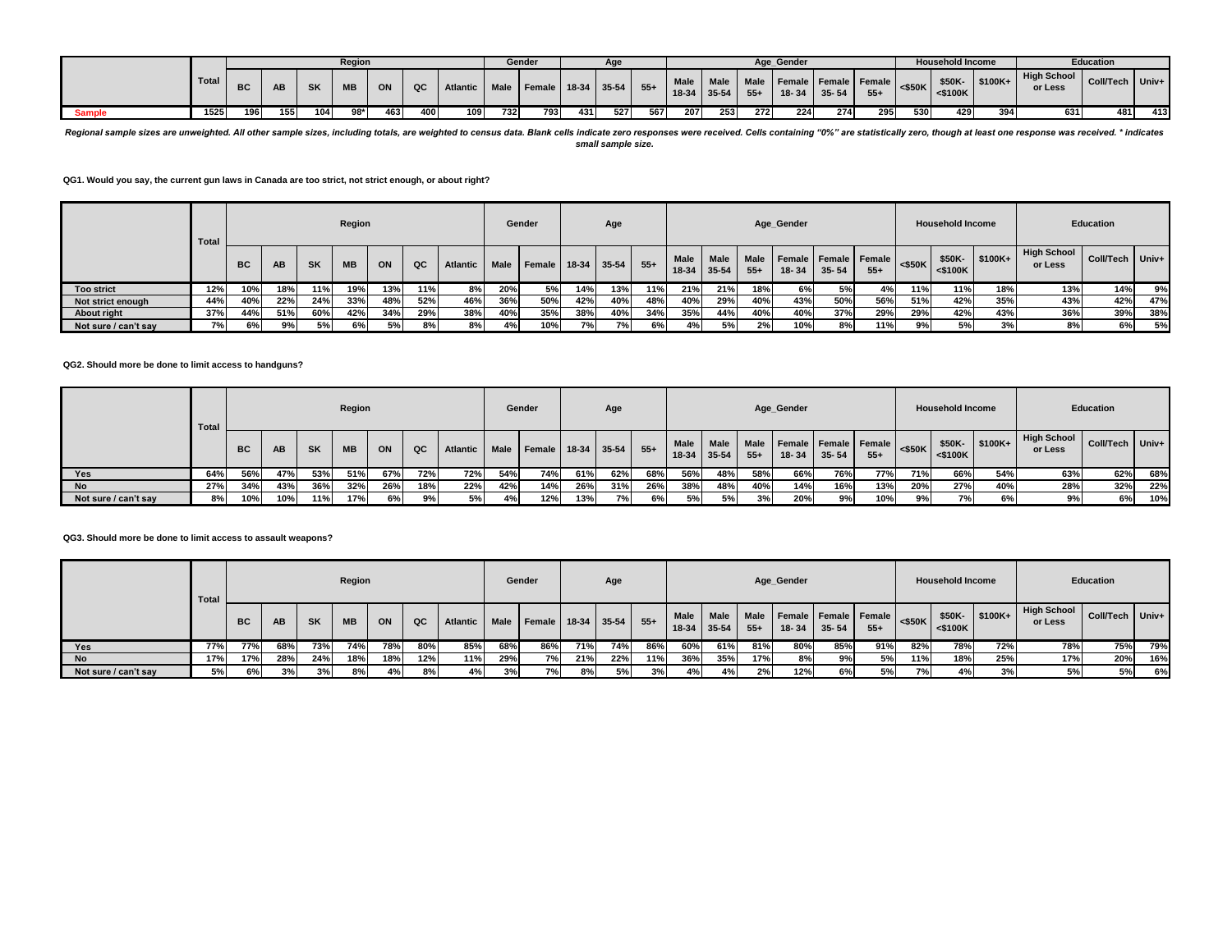|               |       |     |           |           | Region    |     |     |                 |             | Gender             |     | Age |       |                        |               |                      | Age Gender                        |           |       |           | <b>Household Income</b> |           |                               | <b>Education</b> |       |
|---------------|-------|-----|-----------|-----------|-----------|-----|-----|-----------------|-------------|--------------------|-----|-----|-------|------------------------|---------------|----------------------|-----------------------------------|-----------|-------|-----------|-------------------------|-----------|-------------------------------|------------------|-------|
|               | Total | ВC  | <b>AD</b> | <b>SK</b> | <b>MB</b> | ON  | QC  | <b>Atlantic</b> | <b>Male</b> | Female 18-34 35-54 |     |     | $55+$ | <b>Male</b><br>$18-34$ | Male<br>35-54 | <b>Male</b><br>$55+$ | Female Female Female<br>$18 - 34$ | $35 - 54$ | $55+$ | $<$ \$50K | \$50K-<br>$<$ \$100 $K$ | $$100K +$ | <b>High School</b><br>or Less | <b>Coll/Tech</b> | Univ+ |
| <b>Sample</b> | 1525  | 196 | 155       | 104       | $98*$     | 463 | 400 | 109             | 732         | 793                | 431 | 527 | 567   | 207                    | 253           | 272                  | 224                               | 274       | 295   | 530       | 429                     | 394       | 631                           | 481              | 413   |

Regional sample sizes are unweighted. All other sample sizes, including totals, are weighted to census data. Blank cells indicate zero responses were received. Cells containing "0%" are statistically zero, though at least *small sample size.*

**QG1. Would you say, the current gun laws in Canada are too strict, not strict enough, or about right?**

|                      | Total |     |     |           | Region    |     |     |                 |             | Gender |               | Age  |       |                      |                      |                      | Age_Gender |                                   |       |           | <b>Household Income</b> |                       |                               | Education       |     |
|----------------------|-------|-----|-----|-----------|-----------|-----|-----|-----------------|-------------|--------|---------------|------|-------|----------------------|----------------------|----------------------|------------|-----------------------------------|-------|-----------|-------------------------|-----------------------|-------------------------------|-----------------|-----|
|                      |       | ВC  | AB  | <b>SK</b> | <b>MB</b> | ON  | QC  | <b>Atlantic</b> | <b>Male</b> | Female | $18-34$ 35-54 |      | $55+$ | <b>Male</b><br>18-34 | <b>Male</b><br>35-54 | <b>Male</b><br>$55+$ | $18 - 34$  | Female Female Female<br>$35 - 54$ | $55+$ | $<$ \$50K | \$50K-<br>$<$ \$100K    | $\frac{1}{2}$ \$100K+ | <b>High School</b><br>or Less | Coll/Tech Univ+ |     |
| <b>Too strict</b>    | 12%   | 10% | 18% | 11%       | 19%       | 13% | 11% | 8%              | 20%         | 5%     | 14%           | 13%  | 11%   | 21%                  | 21%                  | 18%                  | 6%         | 5%                                |       | 11%       | 11%                     | 18%                   | 13%                           | 14%             | 9%  |
| Not strict enough    | 44%   | 40% | 22% | 24%       | 33%       | 48% | 52% | 46%             | 36%         | 50%    | 42%           | 40%  | 48%   | 40%                  | 29%                  | 40%                  | 43%        | 50%                               | 56%   | 51%       | 42%                     | 35%                   | 43%                           | 42%             | 47% |
| About right          | 37%   | 44% | 51% | 60%       | 42%       | 34% | 29% | 38%             | 40%         | 35%    | 38%           | 40%  | 34%   | 35%                  | 44%                  | 40%                  | 40%        | 37%                               | 29%   | 29%       | 42%                     | 43%                   | 36%                           | 39%             | 38% |
| Not sure / can't say | 7%    | 6%  |     | 5%        | 6%        | 5%  | 8%  | 8%              | 4%          | 10%    | 7%            | 7% I | 6%    | 4%                   | 5%                   | 2%                   | 10%        | 8%                                | 11%   | 9%        | 5%                      | 3%                    | 8%                            | 6%              | 5%  |

#### **QG2. Should more be done to limit access to handguns?**

|                      | Total |           |     |           | Region    |     |     |                 |      | Gender             |     | Age  |       |                 |                          |               | Age_Gender                        |           |       |           | <b>Household Income</b> |          |                               | Education       |     |
|----------------------|-------|-----------|-----|-----------|-----------|-----|-----|-----------------|------|--------------------|-----|------|-------|-----------------|--------------------------|---------------|-----------------------------------|-----------|-------|-----------|-------------------------|----------|-------------------------------|-----------------|-----|
|                      |       | <b>BC</b> | AB  | <b>SK</b> | <b>MB</b> | ON  | QC  | <b>Atlantic</b> | Male | Female 18-34 35-54 |     |      | $55+$ | Male<br>$18-34$ | <b>Male</b><br>$35 - 54$ | Male<br>$55+$ | Female Female Female<br>$18 - 34$ | $35 - 54$ | $55+$ | $<$ \$50K | \$50K-<br>$<$ \$100K    | $$100K+$ | <b>High School</b><br>or Less | Coll/Tech Univ+ |     |
| Yes                  | 64%   | 56%       | 47% | 53%       | 51%       | 67% | 72% | 72%             | 54%  | 74%                | 61% | 62%  | 68%   | 56%             | 48%                      | 58%           | 66%                               | 76%       | 77%   | 71%       | 66%                     | 54%      | 63%                           | 62%             | 68% |
| <b>No</b>            | 27%   | 34%       | 43% | 36%       | 32%       | 26% | 18% | 22%             | 42%  | 14%                | 26% | 31%  | 26%   | 38%             | 48%                      | 40%           | 14%                               | 16%       | 13%   | 20%       | 27%                     | 40%      | 28%                           | 32%             | 22% |
| Not sure / can't say | 8%    | 10%       | 10% | 11%       | 17%       | 6%  | 9%  | 5%              | 4%   | 12%                | 13% | 7% l | 6%    | 5%              | 5%                       | 3%            | 20%                               | 9%        | 10%   | 9%        | 7%                      | 6%       | 9%                            | 6%              | 10% |

# **QG3. Should more be done to limit access to assault weapons?**

|                      | <b>Total</b> |           |     |           | Region    |     |     |          |             | Gender                 |     | Age |       |               |                      |       | Age_Gender |                                        |       |           | <b>Household Income</b> |                       |                               | Education       |     |
|----------------------|--------------|-----------|-----|-----------|-----------|-----|-----|----------|-------------|------------------------|-----|-----|-------|---------------|----------------------|-------|------------|----------------------------------------|-------|-----------|-------------------------|-----------------------|-------------------------------|-----------------|-----|
|                      |              | <b>BC</b> | AB  | <b>SK</b> | <b>MB</b> | ON  | QC  | Atlantic | <b>Male</b> | I Female 18-34 1 35-54 |     |     | $55+$ | Male<br>18-34 | <b>Male</b><br>35-54 | $55+$ | $18 - 34$  | Male Female Female Female<br>$35 - 54$ | $55+$ | $<$ \$50K | \$50K-<br>$<$ \$100K    | $\frac{1}{2}$ \$100K+ | <b>High School</b><br>or Less | Coll/Tech Univ+ |     |
| Yes                  | 77%          | 77%       | 68% | 73%       | 74%       | 78% | 80% | 85%      | 68%         | 86%                    | 71% | 74% | 86%   | 60%           | 61%                  | 81%   | 80%        | 85%                                    | 91%   | 82%       | 78%                     | 72%                   | 78%                           | 75%             | 79% |
| <b>No</b>            | 17%          | 17%       | 28% | 24%       | 18%       | 18% | 12% | 11%      | 29%         | 7%l                    | 21% | 22% | 11%   | 36%           | 35%                  | 17%   | 8%         | 9%                                     | 5%    | 11%       | 18%                     | 25%                   | 17%                           | 20%             | 16% |
| Not sure / can't say | 5%           | 6%        | 3%  | 3%        | 8%        | 4%  | 8%  | 4%       | 3%          | 7%                     | 8%  | 5%  | 3%    | 4%            | 4%                   | 2%    | 12%        | 6%                                     | 5%    | 7%        | 4%                      | 3%                    | 5%                            | 5%              | 6%  |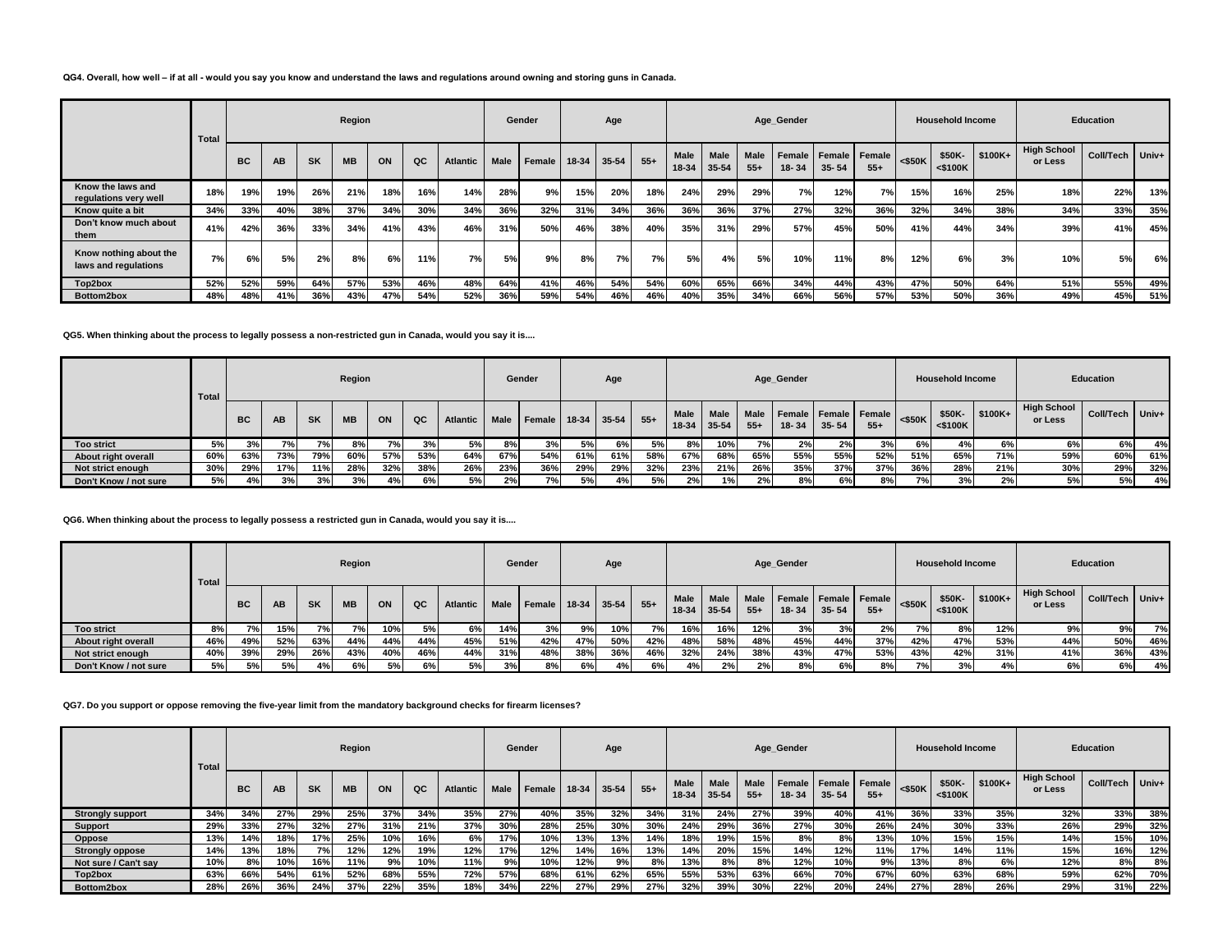#### **QG4. Overall, how well – if at all - would you say you know and understand the laws and regulations around owning and storing guns in Canada.**

|                                                | <b>Total</b> |           |           |           | Region    |     |     |                 |             | Gender |         | Age       |       |                      |                          |                      | Age_Gender      |                              |       |           | <b>Household Income</b> |          |                               | Education         |     |
|------------------------------------------------|--------------|-----------|-----------|-----------|-----------|-----|-----|-----------------|-------------|--------|---------|-----------|-------|----------------------|--------------------------|----------------------|-----------------|------------------------------|-------|-----------|-------------------------|----------|-------------------------------|-------------------|-----|
|                                                |              | <b>BC</b> | <b>AB</b> | <b>SK</b> | <b>MB</b> | ON  | QC  | <b>Atlantic</b> | <b>Male</b> | Female | $18-34$ | 35-54     | $55+$ | <b>Male</b><br>18-34 | <b>Male</b><br>$35 - 54$ | <b>Male</b><br>$55+$ | Female<br>18-34 | Female   Female<br>$35 - 54$ | $55+$ | $<$ \$50K | \$50K-<br>$<$ \$100K    | $$100K+$ | <b>High School</b><br>or Less | Coll/Tech   Univ+ |     |
| Know the laws and<br>regulations very well     | 18%          | 19%       | 19%       | 26%       | 21%       | 18% | 16% | 14%             | 28%         | 9%     | 15%     | 20%       | 18%   | 24%                  | 29%                      | 29%                  | 7%              | 12%                          | 7%    | 15%       | 16%                     | 25%      | 18%                           | 22%               | 13% |
| Know quite a bit                               | 34%          | 33%       | 40%       | 38%       | 37%       | 34% | 30% | 34%             | 36%         | 32%    | 31%     | 34%       | 36%   | 36%                  | 36%                      | 37%                  | 27%             | 32%                          | 36%   | 32%       | 34%                     | 38%      | 34%                           | 33%               | 35% |
| Don't know much about<br>them                  | 41%          | 42%       | 36%       | 33%       | 34%       | 41% | 43% | 46%             | 31%         | 50%    | 46%     | 38%       | 40%   | 35%                  | 31%                      | 29%                  | 57%             | 45%                          | 50%   | 41%       | 44%                     | 34%      | 39%                           | 41%               | 45% |
| Know nothing about the<br>laws and regulations | 7%           | 6%        | 5%        | 2%        | 8%        | 6%  | 11% | 7%              | 5%          | 9%     | 8%      | <b>7%</b> | 7%    | 5%                   | 4%                       | 5%                   | 10%             | 11%                          | 8%    | 12%       | 6%                      | 3%       | 10%                           | 5%                | 6%  |
| Top2box                                        | 52%          | 52%       | 59%       | 64%       | 57%       | 53% | 46% | 48%             | 64%         | 41%    | 46%     | 54%       | 54%   | 60%                  | 65%                      | 66%                  | 34%             | 44%                          | 43%   | 47%       | 50%                     | 64%      | 51%                           | 55%               | 49% |
| Bottom2box                                     | 48%          | 48%       | 41%       | 36%       | 43%       | 47% | 54% | 52%             | 36%         | 59%    | 54%     | 46%       | 46%   | 40%                  | 35%                      | 34%                  | 66%             | 56%                          | 57%   | 53%       | 50%                     | 36%      | 49%                           | 45%               | 51% |

**QG5. When thinking about the process to legally possess a non-restricted gun in Canada, would you say it is....**

|                       | <b>Total</b> |           |           |           | Region    |     |     |                 |             | Gender             |     | Age |       |                      |                      |               | Age_Gender |           |                               |           | <b>Household Income</b> |          |                               | <b>Education</b> |     |
|-----------------------|--------------|-----------|-----------|-----------|-----------|-----|-----|-----------------|-------------|--------------------|-----|-----|-------|----------------------|----------------------|---------------|------------|-----------|-------------------------------|-----------|-------------------------|----------|-------------------------------|------------------|-----|
|                       |              | <b>BC</b> | <b>AB</b> | <b>SK</b> | <b>MB</b> | ON  | QC  | <b>Atlantic</b> | <b>Male</b> | Female 18-34 35-54 |     |     | $55+$ | <b>Male</b><br>18-34 | <b>Male</b><br>35-54 | Male<br>$55+$ | 18-34      | $35 - 54$ | Female Female Female<br>$55+$ | $<$ \$50K | \$50K-<br>$<$ \$100K    | $$100K+$ | <b>High School</b><br>or Less | Coll/Tech Univ+  |     |
| <b>Too strict</b>     | 5%           | 3%        | 7%        | 7%        | 8%        | 7%  | 3%  | 5%              | 8%          | 3%                 | 5%  | 6%  | 5%    | 8%                   | 10%                  | 7%            | 2%         | 2%        | 3%                            | 6%        | 4%                      | 6%       | 6%                            | 6%               | 4%  |
| About right overall   | 60%          | 63%       | 73%       | 79%       | 60%       | 57% | 53% | 64%             | 67%         | 54%                | 61% | 61% | 58%   | 67%                  | 68%                  | 65%           | 55%        | 55%       | 52%                           | 51%       | 65%                     | 71%      | 59%                           | 60%              | 61% |
| Not strict enough     | 30%          | 29%       | 17%       | 11%       | 28%       | 32% | 38% | 26%             | 23%         | 36%                | 29% | 29% | 32%   | 23%                  | 21%                  | 26%           | 35%        | 37%       | 37%                           | 36%       | 28%                     | 21%      | 30%                           | 29%              | 32% |
| Don't Know / not sure | 5%           | 4%1       | 3%        | 3%        | 3%        | 4%  | 6%  | 5%              | 2%          | 7%)                | 5%  | 4%  | 5%    | 2%                   | 1%                   | 2%            | 8%         | 6%        | 8%                            | 7%        | 3%                      | 2%       | 5%                            | 5%               | 4%  |

# **QG6. When thinking about the process to legally possess a restricted gun in Canada, would you say it is....**

|                       | Total |           |     |           | Region    |     |     |                 |             | Gender             |     | Age             |       |               |                      |                      | Age_Gender                    |           |       |           | <b>Household Income</b> |          |                        | <b>Education</b> |       |
|-----------------------|-------|-----------|-----|-----------|-----------|-----|-----|-----------------|-------------|--------------------|-----|-----------------|-------|---------------|----------------------|----------------------|-------------------------------|-----------|-------|-----------|-------------------------|----------|------------------------|------------------|-------|
|                       |       | <b>BC</b> | AB. | <b>SK</b> | <b>MB</b> | ON  | QC  | <b>Atlantic</b> | <b>Male</b> | Female 18-34 35-54 |     |                 | $55+$ | Male<br>18-34 | <b>Male</b><br>35-54 | <b>Male</b><br>$55+$ | Female Female Female<br>18-34 | $35 - 54$ | $55+$ | $<$ \$50K | \$50K-<br>$<$ \$100 $K$ | $$100K+$ | High School<br>or Less | Coll/Tech        | Univ+ |
| <b>Too strict</b>     | 8%    | 7% I      | 15% | 7%        | 7%1       | 10% | 5%  | 6%              | 14%         | 3%                 | 9%  | 10%             | 7%    | 16%           | 16%                  | 12%                  | 3%                            | 3%        | 2%    | 7% l      | 8%                      | 12%      | 9%                     | 9%               | 7%    |
| About right overall   | 46%   | 49%       | 52% | 63%       | 44%       | 44% | 44% | 45%             | 51%         | 42%                | 47% | 50 <sup>%</sup> | 42%   | 48%           | 58%                  | 48%                  | 45%                           | 44%       | 37%   | 42%       | 47%                     | 53%      | 44%                    | 50%              | 46%   |
| Not strict enough     | 40%   | 39%       | 29% | 26%       | 43%       | 40% | 46% | 44%             | 31%         | 48%                | 38% | 36%             | 46%   | 32%           | 24%                  | 38%                  | 43%                           | 47%       | 53%   | 43%       | 42%                     | 31%      | 41%                    | 36%              | 43%   |
| Don't Know / not sure | 5%    | 5%        | 5%  | 4%        | 6%        | 5%  | 6%  | 5%              | 3%          | 8%                 | 6%  | 4%              | 6%    | 4%            | 2%                   |                      | 8%                            | 6%        | 8%    | 7%        | 3%                      |          | 6%                     | 6%               | 4%    |

# **QG7. Do you support or oppose removing the five-year limit from the mandatory background checks for firearm licenses?**

|                         | Total |           |     |           | Region    |     |     |                 |             | Gender |       | Age       |       |               |                      |                      | Age Gender |                                       |       |           | <b>Household Income</b> |          |                               | <b>Education</b> |           |
|-------------------------|-------|-----------|-----|-----------|-----------|-----|-----|-----------------|-------------|--------|-------|-----------|-------|---------------|----------------------|----------------------|------------|---------------------------------------|-------|-----------|-------------------------|----------|-------------------------------|------------------|-----------|
|                         |       | <b>BC</b> | AB  | <b>SK</b> | <b>MB</b> | ON  | QC  | <b>Atlantic</b> | <b>Male</b> | Female | 18-34 | $35 - 54$ | $55+$ | Male<br>18-34 | <b>Male</b><br>35-54 | <b>Male</b><br>$55+$ | 18-34      | Female   Female   Female<br>$35 - 54$ | $55+$ | $<$ \$50K | \$50K-<br>$<$ \$100 $K$ | $$100K+$ | <b>High School</b><br>or Less | Coll/Tech        | $ $ Univ+ |
| <b>Strongly support</b> | 34%   | 34%       | 27% | 29%       | 25%       | 37% | 34% | 35%             | 27%         | 40%    | 35%   | 32%       | 34%   | 31%           | 24%                  | 27%                  | 39%        | 40%                                   | 41%   | 36%       | 33%                     | 35%      | 32%                           | 33%              | 38%       |
| Support                 | 29%   | 33%       | 27% | 32%       | 27%       | 31% | 21% | 37%             | 30%         | 28%    | 25%   | 30%       | 30%   | 24%           | 29%                  | 36%                  | 27%        | 30%                                   | 26%   | 24%       | 30%                     | 33%      | 26%                           | 29%              | 32%       |
| Oppose                  | 13%   | 14%       | 18% | 17%       | 25%       | 10% | 16% | 6%              | 17%         | 10%    | 13%   | 13%       | 14%   | 18%           | 19%                  | 15%                  | 8%         | 8%                                    | 13%   | 10%       | 15%                     | 15%      | 14%                           | 15%              | 10%       |
| <b>Strongly oppose</b>  | 14%   | 13%       | 18% | 7%        | 12%       | 12% | 19% | 12%             | 17%         | 12%    | 14%   | 16%       | 13%   | 14%           | 20%                  | 15%                  | 14%        | 12%                                   | 11%   | 17%       | 14%                     | 11%      | 15%                           | 16%              | 12%       |
| Not sure / Can't sav    | 10%   | 8%        | 10% | 16%       | 11%       | 9%  | 10% | 11%             | 9%          | 10%    | 12%   | 9%        | 8%    | 13%           | 8%                   | 8%                   | 12%        | 10%                                   | 9%    | 13%       | 8%                      | 6%       | 12%                           | 8%               | 8%        |
| Top2box                 | 63%   | 66%       | 54% | 61%       | 52%       | 68% | 55% | 72%             | 57%         | 68%    | 61%   | 62%       | 65%   | 55%           | 53%                  | 63%                  | 66%        | 70%                                   | 67%   | 60%       | 63%                     | 68%      | 59%                           | 62%              | 70%       |
| Bottom2box              | 28%   | 26%       | 36% | 24%       | 37%       | 22% | 35% | 18%             | 34%         | 22%    | 27%   | 29%       | 27%   | 32%           | 39%                  | 30%                  | 22%        | 20%                                   | 24%   | 27%       | 28%                     | 26%      | 29%                           | 31%              | 22%       |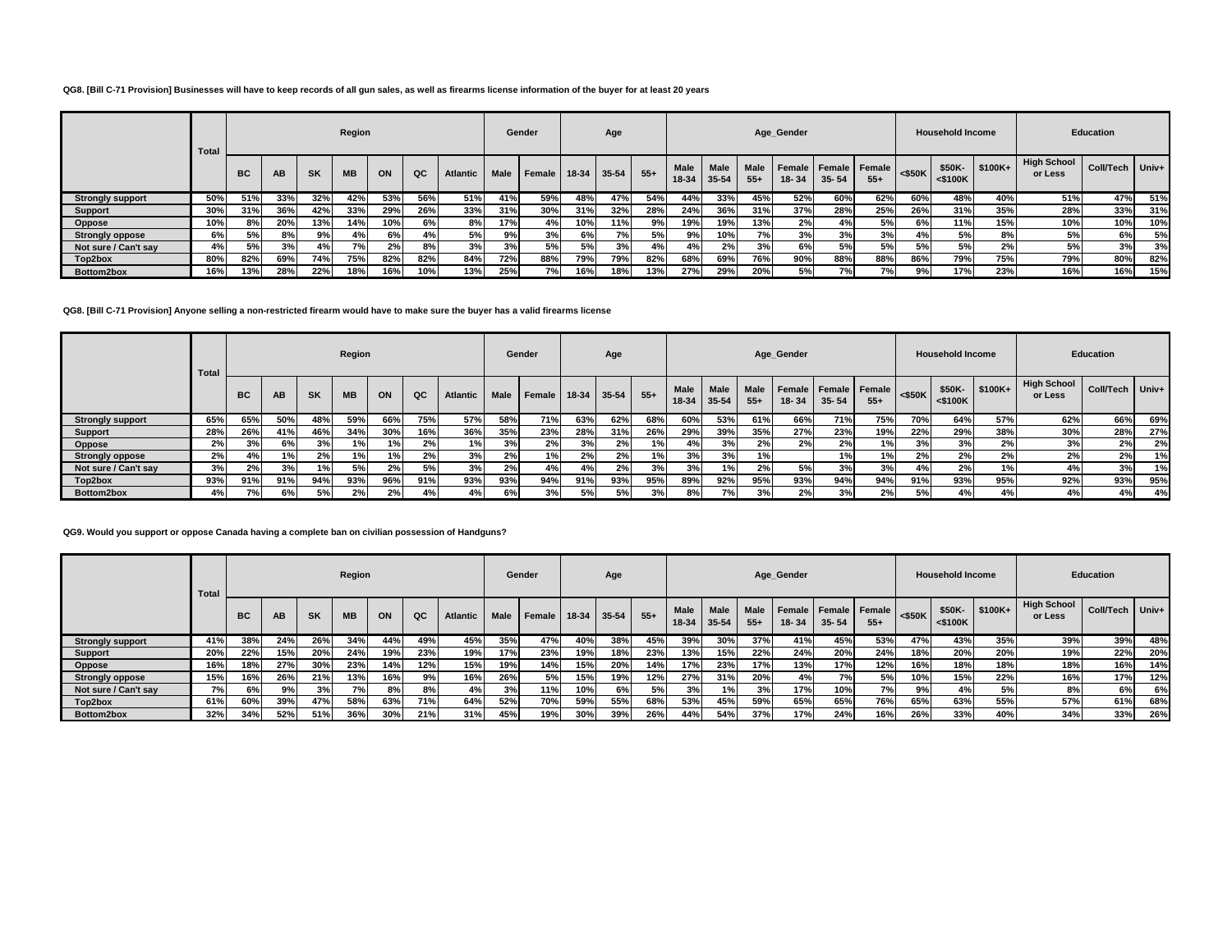### **QG8. [Bill C-71 Provision] Businesses will have to keep records of all gun sales, as well as firearms license information of the buyer for at least 20 years**

|                         | Total |           |           |           | Region    |     |     |                 |             | Gender        |       | Age   |       |               |                          |                      | Age_Gender |                                   |       |           | <b>Household Income</b> |          |                               | <b>Education</b> |     |
|-------------------------|-------|-----------|-----------|-----------|-----------|-----|-----|-----------------|-------------|---------------|-------|-------|-------|---------------|--------------------------|----------------------|------------|-----------------------------------|-------|-----------|-------------------------|----------|-------------------------------|------------------|-----|
|                         |       | <b>BC</b> | <b>AB</b> | <b>SK</b> | <b>MB</b> | ON  | QC  | <b>Atlantic</b> | <b>Male</b> | <b>Female</b> | 18-34 | 35-54 | $55+$ | Male<br>18-34 | <b>Male</b><br>$35 - 54$ | <b>Male</b><br>$55+$ | 18-34      | Female Female Female<br>$35 - 54$ | $55+$ | $<$ \$50K | \$50K-<br>$<$ \$100 $K$ | $$100K+$ | <b>High School</b><br>or Less | Coll/Tech Univ+  |     |
| <b>Strongly support</b> | 50%   | 51%       | 33%       | 32%       | 42%       | 53% | 56% | 51%             | 41%         | 59%           | 48%   | 47%   | 54%   | 44%           | 33%                      | 45%                  | 52%        | 60%                               | 62%   | 60%       | 48%                     | 40%      | 51%                           | 47%              | 51% |
| <b>Support</b>          | 30%   | 31%       | 36%       | 42%       | 33%       | 29% | 26% | 33%             | 31%         | 30%           | 31%   | 32%   | 28%   | 24%           | 36%                      | 31%                  | 37%        | 28%                               | 25%   | 26%       | 31%                     | 35%      | 28%                           | 33%              | 31% |
| Oppose                  | 10%   | 8%        | 20%       | 13%       | 14%       | 10% | 6%  | 8%              | 17%         | 4%            | 10%   | 11%   | 9%    | 19%           | 19%                      | 13%                  | 2%         | 4%                                | 5%    | 6%        | 11%                     | 15%      | 10%                           | 10%              | 10% |
| <b>Strongly oppose</b>  | 6%    | 5%l       | 8%        | 9%        | 4%        | 6%  | 4%  | 5%              | 9%          | 3%            | 6%    | 7°/   | 5%    | 9%            | 10% l                    | 7%                   | 3%         | 3%                                | 3%    | 4%        | 5%                      | 8%       | 5%                            | 6%               | 5%  |
| Not sure / Can't sav    | 4%    | 5%        | 3%        | 4%        | 7%        | 2%  | 8%  | 3%              | 3%          | 5%            | 5%    | 3%    | 4%    | 4%            | 2%1                      | 3%                   | 6%         | 5%                                | 5%    | 5%        | 5%                      | 2%       | 5%                            | 3%               | 3%  |
| Top2box                 | 80%   | 82%       | 69%       | 74%       | 75%       | 82% | 82% | 84%             | 72%         | 88%           | 79%   | 79%   | 82%   | 68%           | 69%                      | 76%                  | 90%        | 88%                               | 88%   | 86%       | 79%                     | 75%      | 79%                           | 80%              | 82% |
| Bottom2box              | 16%   | 13%       | 28%       | 22%       | 18%       | 16% | 10% | 13%             | 25%         | 7%            | 16%   | 18%   | 13%   | 27%           | 29%                      | 20%                  | 5%         | 7%1                               | 7%।   | 9%        | 17%                     | 23%      | 16%                           | 16%              | 15% |

### **QG8. [Bill C-71 Provision] Anyone selling a non-restricted firearm would have to make sure the buyer has a valid firearms license**

|                         | <b>Total</b> |     |           |           | Region    |     |     |                 |             | Gender |         | Age   |       |                      |                      |                      | Age_Gender |                                       |       |           | <b>Household Income</b> |           |                               | <b>Education</b> |     |
|-------------------------|--------------|-----|-----------|-----------|-----------|-----|-----|-----------------|-------------|--------|---------|-------|-------|----------------------|----------------------|----------------------|------------|---------------------------------------|-------|-----------|-------------------------|-----------|-------------------------------|------------------|-----|
|                         |              | BC  | <b>AB</b> | <b>SK</b> | <b>MB</b> | ON  | QC  | <b>Atlantic</b> | <b>Male</b> | Female | $18-34$ | 35-54 | $55+$ | <b>Male</b><br>18-34 | <b>Male</b><br>35-54 | <b>Male</b><br>$55+$ | 18-34      | Female   Female   Female<br>$35 - 54$ | $55+$ | $<$ \$50K | \$50K-<br>$<$ \$100K    | $$100K +$ | <b>High School</b><br>or Less | Coll/Tech Univ+  |     |
| <b>Strongly support</b> | 65%          | 65% | 50%       | 48%       | 59%       | 66% | 75% | 57%             | 58%         | 71%    | 63%     | 62%   | 68%   | 60%                  | 53%                  | 61%                  | 66%        | 71%                                   | 75%   | 70%       | 64%                     | 57%       | 62%                           | 66%              | 69% |
| Support                 | 28%          | 26% | 41%       | 46%       | 34%       | 30% | 16% | 36%             | 35%         | 23%    | 28%     | 31%   | 26%   | 29%                  | 39%                  | 35%                  | 27%        | 23%                                   | 19%   | 22%       | 29%                     | 38%       | 30%                           | 28%              | 27% |
| Oppose                  | 2%           | 3%  | 6%        | 3%        | 1%        | 1%  | 2%  | 1%              | 3%          | 2%     | 3%      | 2%    | 1%    | 4%                   | 3%                   | 2%                   | 2%         | 2%                                    | 1%    | 3%        | 3%                      | 2%        | 3%                            | 2%               | 2%  |
| <b>Strongly oppose</b>  | 2%           | 4%  | 1%I       | 2%        | 1%        | 1%  | 2%  | 3%              | 2%          | 1%     | 2%      | 2%    | 1%    | 3%                   | 3%                   | 1%                   |            | 1%1                                   | 1%    | 2%        | 2%                      | 2%        | 2%                            | 2%               | 1%  |
| Not sure / Can't say    | 3%           | 2%  | 3%        | 1%        | 5%        | 2%  | 5%  | 3%              | 2%          | 4%     | 4%      | 2%    | 3%    | 3%                   | 1%                   | 2%                   | 5%         | 3%                                    | 3%    | 4%        | 2%                      | $1\%$     | 4%                            | 3%               | 1%  |
| Top2box                 | 93%          | 91% | 91%       | 94%       | 93%       | 96% | 91% | 93%             | 93%         | 94%    | 91%     | 93%   | 95%   | 89%                  | 92%                  | 95%                  | 93%        | 94%                                   | 94%   | 91%       | 93%                     | 95%       | 92%                           | 93%              | 95% |
| Bottom2box              | 4%           | 7%  | 6%        | 5%        | 2%        | 2%  | 4%  | 4%              | 6%          | 3%     | 5%      | 5% l  | 3%    | 8%                   | 7%                   | 3%                   | 2%         | 3%                                    | 2%    | 5%        | 4%                      | 4%        | 4%                            | 4%               | 4%  |

### **QG9. Would you support or oppose Canada having a complete ban on civilian possession of Handguns?**

|                         | <b>Total</b> |     |           |           | Region    |     |             |                 |             | Gender |         | Age        |       |                      |                      |                      | Age Gender |                                   |       |            | <b>Household Income</b> |          |                               | <b>Education</b> |           |
|-------------------------|--------------|-----|-----------|-----------|-----------|-----|-------------|-----------------|-------------|--------|---------|------------|-------|----------------------|----------------------|----------------------|------------|-----------------------------------|-------|------------|-------------------------|----------|-------------------------------|------------------|-----------|
|                         |              | BC  | <b>AB</b> | <b>SK</b> | <b>MB</b> | ON  | $_{\alpha}$ | <b>Atlantic</b> | <b>Male</b> | Female | $18-34$ | 35-54      | $55+$ | <b>Male</b><br>18-34 | <b>Male</b><br>35-54 | <b>Male</b><br>$55+$ | $18 - 34$  | Female Female Female<br>$35 - 54$ | $55+$ | $<$ \$50K  | \$50K-<br>$<$ \$100 $K$ | $$100K+$ | <b>High School</b><br>or Less | Coll/Tech        | $ $ Univ+ |
| <b>Strongly support</b> | 41%          | 38% | 24%       | 26%       | 34%       | 44% | 49%         | 45%             | 35%         | 47%    | 40%     | 38%        | 45%   | 39%                  | 30%                  | 37%                  | 41%        | 45%                               | 53%   | 47%        | 43%                     | 35%      | 39%                           | 39%              | 48%       |
| <b>Support</b>          | 20%          | 22% | 15%       | 20%       | 24%       | 19% | 23%         | 19%             | 17%         | 23%    | 19%     | <b>18%</b> | 23%   | 13%                  | 15%                  | 22%                  | 24%        | 20%                               | 24%   | <b>18%</b> | 20%                     | 20%      | 19%                           | 22%              | 20%       |
| Oppose                  | 16%          | 18% | 27%       | 30%       | 23%       | 14% | 12%         | 15%             | 19%         | 14%    | 15%     | 20%        | 14%   | 17%                  | 23%                  | 17%                  | 13%        | 17%                               | 12%   | 16%        | 18%                     | 18%      | 18%                           | 16%              | 14%       |
| <b>Strongly oppose</b>  | 15%          | 16% | 26%       | 21%       | 13%       | 16% | 9%          | 16%             | 26%         | 5%     | 15%     | 19%        | 12%   | 27%                  | 31%                  | 20%                  | 4%         | 7%                                | 5%    | 10%        | 15%                     | 22%      | 16%                           | 17%              | 12%       |
| Not sure / Can't sav    | 7%           | 6%  | 9%        | 3%        | 7%        | 8%  | 8%          | 4%              | 3%          | 11%    | 10%     | 6%         | 5%    | 3%                   | 1%1                  | 3%                   | 17%        | 10%                               | 7%    | 9%         | 4%                      | 5%       | 8%                            | 6%               | 6%        |
| Top2box                 | 61%          | 60% | 39%       | 47%       | 58%       | 63% | 71%         | 64%             | 52%         | 70%    | 59%     | 55%        | 68%   | 53%                  | 45%                  | 59%                  | 65%        | 65%                               | 76%   | 65%        | 63%                     | 55%      | 57%                           | 61%              | 68%       |
| Bottom2box              | 32%          | 34% | 52%       | 51%       | 36%       | 30% | 21%         | 31%             | 45%         | 19%    | 30%     | 39%        | 26%   | 44%                  | 54%                  | 37%                  | 17%        | 24%                               | 16%   | 26%        | 33%                     | 40%      | 34%                           | 33%              | 26%       |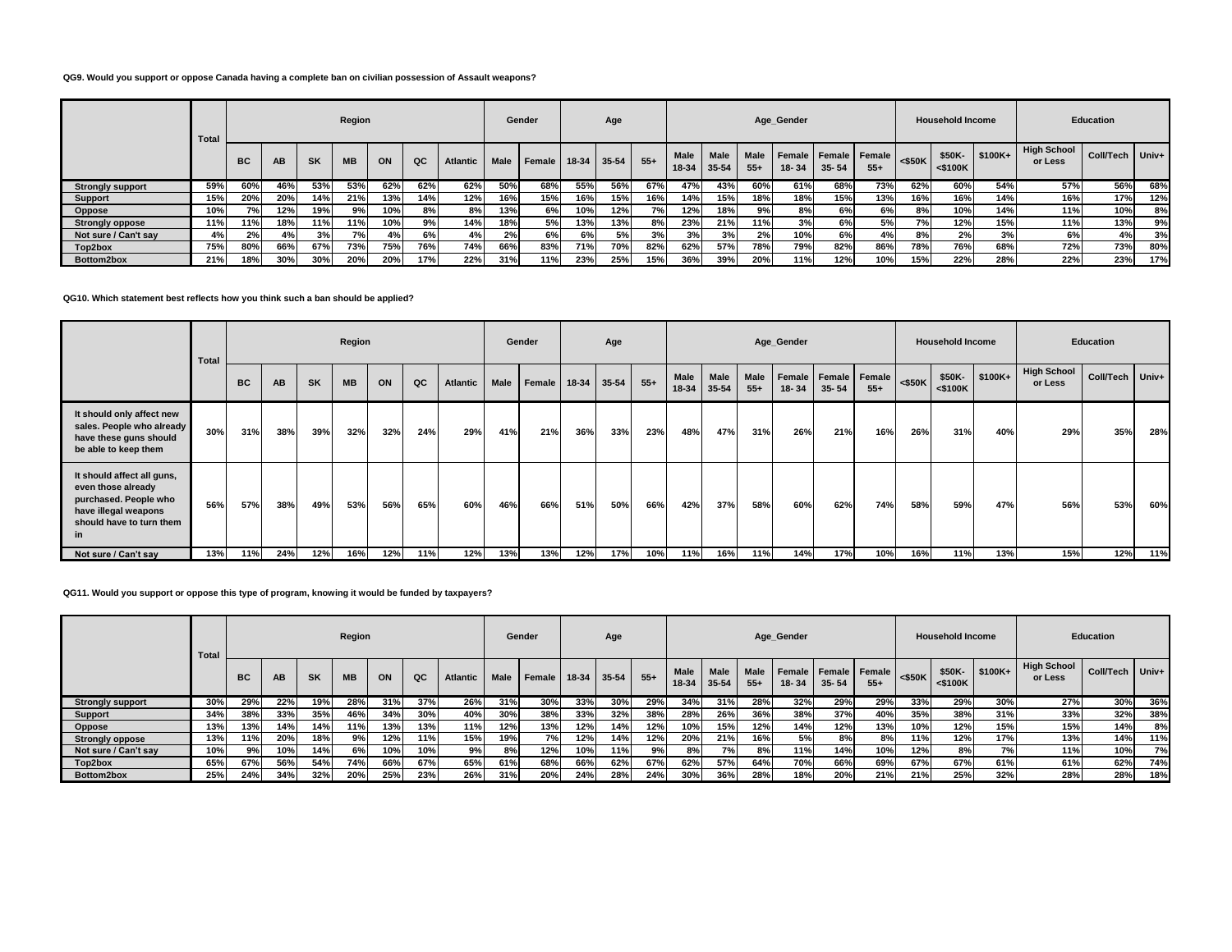# **QG9. Would you support or oppose Canada having a complete ban on civilian possession of Assault weapons?**

|                         | <b>Total</b> |           |     |           | Region    |     |     |                 |             | Gender |             | Age |       |      |                            |                      | Age_Gender |                                   |       |                   | <b>Household Income</b> |           |                               | <b>Education</b> |       |
|-------------------------|--------------|-----------|-----|-----------|-----------|-----|-----|-----------------|-------------|--------|-------------|-----|-------|------|----------------------------|----------------------|------------|-----------------------------------|-------|-------------------|-------------------------|-----------|-------------------------------|------------------|-------|
|                         |              | <b>BC</b> | AB  | <b>SK</b> | <b>MB</b> | ON  | QC  | <b>Atlantic</b> | <b>Male</b> | Female | 18-34 35-54 |     | $55+$ | Male | <b>Male</b><br>18-34 35-54 | <b>Male</b><br>$55+$ | 18-34      | Female Female Female<br>$35 - 54$ | $55+$ | $<$ \$50K $\vert$ | \$50K-<br>$<$ \$100 $K$ | $$100K +$ | <b>High School</b><br>or Less | Coll/Tech        | Univ+ |
| <b>Strongly support</b> | 59%          | 60%       | 46% | 53%       | 53%       | 62% | 62% | 62%             | 50%         | 68%    | 55%         | 56% | 67%   | 47%  | 43%                        | 60%                  | 61%        | 68%                               | 73%   | 62%               | 60%                     | 54%       | 57%                           | 56%              | 68%   |
| Support                 | 15%          | 20%       | 20% | 14%       | 21%       | 13% | 14% | 12%             | 16%         | 15%    | 16%         | 15% | 16%   | 14%  | 15%                        | 18%                  | 18%        | 15%                               | 13%   | 16%               | 16%                     | 14%       | 16%                           | 17%              | 12%   |
| Oppose                  | 10%          | 7%        | 12% | 19%       | 9%        | 10% | 8%  | 8%              | 13%         | 6%     | 10%         | 12% | 7% l  | 12%  | 18%                        | 9%                   | 8%         | 6%                                | 6%    | 8%                | 10%                     | 14%       | 11%                           | 10%              | 8%    |
| <b>Strongly oppose</b>  | 11%          | 11%       | 18% | 11%       | 11%       | 10% | 9%  | 14%             | 18%         | 5%     | 13%         | 13% | 8%    | 23%  | 21%                        | 11%                  | 3%         | 6%                                | 5%    | 7%1               | 12%                     | 15%       | 11%                           | 13%              | 9%    |
| Not sure / Can't say    | 4%           | 2%        | 4%  | 3%        | 7%        | 4%  | 6%  | 4%              | 2%          | 6%     | 6%          | 5%  | 3%    | 3%   | 3%                         | 2%                   | 10%        | 6%                                | 4%    | 8%                | 2%                      | 3%        | 6%                            | 4%               | 3%    |
| Top2box                 | 75%          | 80%       | 66% | 67%       | 73%       | 75% | 76% | 74%             | 66%         | 83%    | 71%         | 70% | 82%   | 62%  | 57%                        | 78%                  | <b>79%</b> | 82%                               | 86%   | 78%               | 76%                     | 68%       | 72%                           | 73%              | 80%   |
| Bottom2box              | 21%          | 18%       | 30% | 30%       | 20%       | 20% | 17% | 22%             | 31%         | 11%    | 23%         | 25% | 15%   | 36%  | 39%                        | 20%                  | 11%        | 12%                               | 10%   | 15%               | 22%                     | 28%       | 22%                           | 23%              | 17%   |

### **QG10. Which statement best reflects how you think such a ban should be applied?**

|                                                                                                                                     | Total |           |           |           | Region    |     |     |                 |             | Gender |         | Age   |       |                      |               |                      | Age_Gender             |           |                        |           | <b>Household Income</b> |          |                               | <b>Education</b> |     |
|-------------------------------------------------------------------------------------------------------------------------------------|-------|-----------|-----------|-----------|-----------|-----|-----|-----------------|-------------|--------|---------|-------|-------|----------------------|---------------|----------------------|------------------------|-----------|------------------------|-----------|-------------------------|----------|-------------------------------|------------------|-----|
|                                                                                                                                     |       | <b>BC</b> | <b>AB</b> | <b>SK</b> | <b>MB</b> | ON  | QC  | <b>Atlantic</b> | <b>Male</b> | Female | $18-34$ | 35-54 | $55+$ | <b>Male</b><br>18-34 | Male<br>35-54 | <b>Male</b><br>$55+$ | <b>Female</b><br>18-34 | $35 - 54$ | Female Female<br>$55+$ | $<$ \$50K | \$50K-<br>$<$ \$100K    | $$100K+$ | <b>High School</b><br>or Less | Coll/Tech Univ+  |     |
| It should only affect new<br>sales. People who already<br>have these guns should<br>be able to keep them                            | 30%   | 31%       | 38%       | 39%       | 32%       | 32% | 24% | 29%             | 41%         | 21%    | 36%     | 33%   | 23%   | 48%                  | 47%           | 31%                  | 26%                    | 21%       | 16%                    | 26%       | 31%                     | 40%      | 29%                           | 35%              | 28% |
| It should affect all guns,<br>even those already<br>purchased. People who<br>have illegal weapons<br>should have to turn them<br>in | 56%   | 57%       | 38%       | 49%       | 53%       | 56% | 65% | 60%             | 46%         | 66%    | 51%     | 50%   | 66%   | 42%                  | 37%           | 58%                  | 60%                    | 62%       | 74%                    | 58%       | 59%                     | 47%      | 56%                           | 53%              | 60% |
| Not sure / Can't say                                                                                                                | 13%   | 11%       | 24%       | 12%       | 16%       | 12% | 11% | 12%             | 13%         | 13%    | 12%     | 17%   | 10%   | 11%                  | 16%           | 11%                  | 14%                    | 17%       | 10%                    | 16%       | 11%                     | 13%      | 15%                           | 12%              | 11% |

# **QG11. Would you support or oppose this type of program, knowing it would be funded by taxpayers?**

|                         | <b>Total</b> |     |     |           | Region    |     |     |                 |             | Gender |         | Age   |       |                      |                          |                      | Age_Gender      |                              |       |           | <b>Household Income</b> |          |                               | <b>Education</b> |       |
|-------------------------|--------------|-----|-----|-----------|-----------|-----|-----|-----------------|-------------|--------|---------|-------|-------|----------------------|--------------------------|----------------------|-----------------|------------------------------|-------|-----------|-------------------------|----------|-------------------------------|------------------|-------|
|                         |              | BC  | AB  | <b>SK</b> | <b>MB</b> | ON  | QC  | <b>Atlantic</b> | <b>Male</b> | Female | $18-34$ | 35-54 | $55+$ | <b>Male</b><br>18-34 | <b>Male</b><br>$35 - 54$ | <b>Male</b><br>$55+$ | Female<br>18-34 | Female   Female<br>$35 - 54$ | $55+$ | $<$ \$50K | \$50K-<br>$<$ \$100 $K$ | $$100K+$ | <b>High School</b><br>or Less | <b>Coll/Tech</b> | Univ+ |
| <b>Strongly support</b> | 30%          | 29% | 22% | 19%       | 28%       | 31% | 37% | 26%             | 31%         | 30%    | 33%     | 30%   | 29%   | 34%                  | 31%                      | 28%                  | 32%             | 29%                          | 29%   | 33%       | 29%                     | 30%      | 27%                           | 30%              | 36%   |
| Support                 | 34%          | 38% | 33% | 35%       | 46%       | 34% | 30% | 40%             | 30%         | 38%    | 33%     | 32%   | 38%   | 28%                  | 26%                      | 36%                  | 38%             | 37%                          | 40%   | 35%       | 38%                     | 31%      | 33%                           | 32%              | 38%   |
| Oppose                  | 13%          | 13% | 14% | 14%       | 11%       | 13% | 13% | 11%             | 12%         | 13%    | 12%     | 14%   | 12%   | 10%                  | 15%                      | 12%                  | 14%             | 12%                          | 13%   | 10%       | 12%                     | 15%      | 15%                           | 14%              | 8%    |
| <b>Strongly oppose</b>  | 13%          | 11% | 20% | 18%       | 9%        | 12% | 11% | 15%             | 19%         | 7% I   | 12%     | 14%   | 12%   | 20%                  | 21%                      | 16%                  | 5%              | 8%                           | 8%    | 11%       | 12%                     | 17%      | 13%                           | 14%              | 11%   |
| Not sure / Can't say    | 10%          | 9%  | 10% | 14%       | 6%        | 10% | 10% | 9%              | 8%          | 12%    | 10%     | 11%   | 9%    | 8%                   | 7%.                      | 8%                   | 11%             | 14%                          | 10%   | 12%       | 8%                      | 7%       | 11%                           | 10%              | 7%    |
| Top2box                 | 65%          | 67% | 56% | 54%       | 74%       | 66% | 67% | 65%             | 61%         | 68%    | 66%     | 62%   | 67%   | 62%                  | 57%                      | 64%                  | 70%             | 66%                          | 69%   | 67%       | 67%                     | 61%      | 61%                           | 62%              | 74%   |
| Bottom2box              | 25%          | 24% | 34% | 32%       | 20%       | 25% | 23% | 26%             | 31%         | 20%    | 24%     | 28%   | 24%   | 30%                  | 36%                      | 28%                  | 18%             | 20%                          | 21%   | 21%       | 25%                     | 32%      | 28%                           | 28%              | 18%   |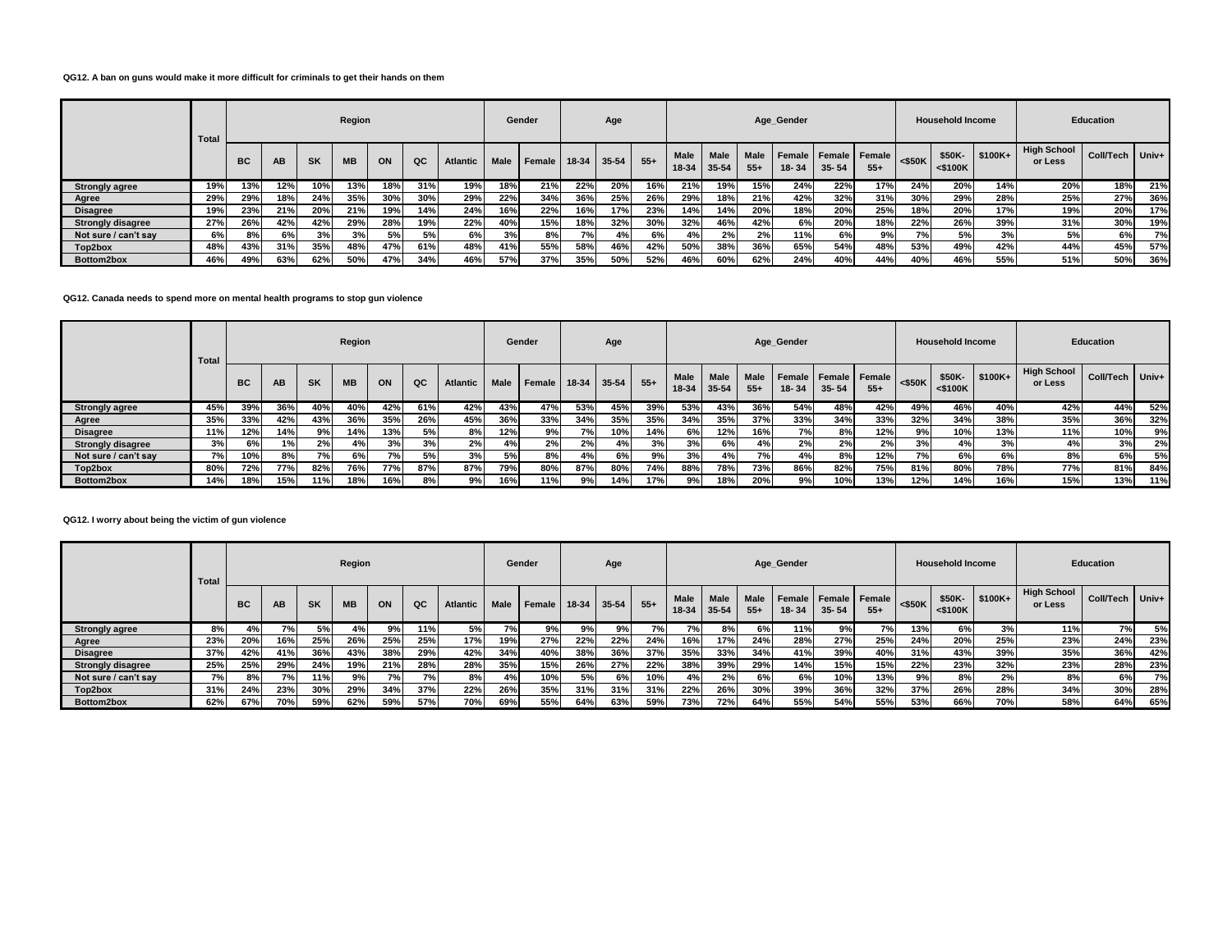# **QG12. A ban on guns would make it more difficult for criminals to get their hands on them**

|                          | <b>Total</b> |           |     |           | Region    |     |     |          |             | Gender |             | Age |       |      |                            |                      | Age Gender |                                       |       |           | <b>Household Income</b> |           |                               | <b>Education</b> |       |
|--------------------------|--------------|-----------|-----|-----------|-----------|-----|-----|----------|-------------|--------|-------------|-----|-------|------|----------------------------|----------------------|------------|---------------------------------------|-------|-----------|-------------------------|-----------|-------------------------------|------------------|-------|
|                          |              | <b>BC</b> | AB  | <b>SK</b> | <b>MB</b> | ON  | QC  | Atlantic | <b>Male</b> | Female | 18-34 35-54 |     | $55+$ | Male | <b>Male</b><br>18-34 35-54 | <b>Male</b><br>$55+$ | 18-34      | Female   Female   Female<br>$35 - 54$ | $55+$ | $<$ \$50K | \$50K-<br>$<$ \$100 $K$ | $$100K +$ | <b>High School</b><br>or Less | Coll/Tech        | Univ+ |
| <b>Strongly agree</b>    | 19%          | 13%       | 12% | 10%       | 13%       | 18% | 31% | 19%      | 18%         | 21%    | 22%         | 20% | 16%   | 21%  | 19%                        | 15%                  | 24%        | 22%                                   | 17%   | 24%       | 20%                     | 14%       | 20%                           | 18%              | 21%   |
| Agree                    | 29%          | 29%       | 18% | 24%       | 35%       | 30% | 30% | 29%      | 22%         | 34%    | 36%         | 25% | 26%   | 29%  | 18%                        | 21%                  | 42%        | 32%                                   | 31%   | 30%       | 29%                     | 28%       | 25%                           | 27%              | 36%   |
| <b>Disagree</b>          | 19%          | 23%       | 21% | 20%       | 21%       | 19% | 14% | 24%      | 16%         | 22%    | 16%         | 17% | 23%   | 14%  | 14%                        | 20%                  | 18%        | 20%                                   | 25%   | 18%       | 20%                     | 17%       | 19%                           | 20%              | 17%   |
| <b>Strongly disagree</b> | 27%          | 26%       | 42% | 42%       | 29%       | 28% | 19% | 22%      | 40%         | 15%    | 18%         | 32% | 30%   | 32%  | 46%                        | 42%                  | 6%         | 20%                                   | 18%   | 22%       | 26%                     | 39%       | 31%                           | 30%              | 19%   |
| Not sure / can't say     | 6%           | 8%        | 6%  | 3%        | 3%        | 5%  | 5%  | 6%       | 3%          | 8%     | 7%          | 4%  | 6%    | 4%   | 2%                         | 2%                   | 11%        | 6%                                    | 9%    | 7%1       | 5%                      | 3%        | 5%                            | 6%               | 7%    |
| Top2box                  | 48%          | 43%       | 31% | 35%       | 48%       | 47% | 61% | 48%      | 41%         | 55%    | 58%         | 46% | 42%   | 50%  | 38%                        | 36%                  | 65%        | 54%                                   | 48%   | 53%       | 49%                     | 42%       | 44%                           | 45%              | 57%   |
| Bottom2box               | 46%          | 49%       | 63% | 62%       | 50%       | 47% | 34% | 46%      | 57%         | 37%    | 35%         | 50% | 52%   | 46%  | 60%                        | 62%                  | 24%        | 40%                                   | 44%   | 40%       | 46%                     | 55%       | 51%                           | 50%              | 36%   |

### **QG12. Canada needs to spend more on mental health programs to stop gun violence**

|                          | <b>Total</b> |     |     |           | Region    |     |     |                 |             | Gender |               | Age |       |                      |                      |                      | Age_Gender |                                       |       |           | <b>Household Income</b> |          |                               | <b>Education</b> |     |
|--------------------------|--------------|-----|-----|-----------|-----------|-----|-----|-----------------|-------------|--------|---------------|-----|-------|----------------------|----------------------|----------------------|------------|---------------------------------------|-------|-----------|-------------------------|----------|-------------------------------|------------------|-----|
|                          |              | BC  | AB  | <b>SK</b> | <b>MB</b> | ON  | QC  | <b>Atlantic</b> | <b>Male</b> | Female | $18-34$ 35-54 |     | $55+$ | <b>Male</b><br>18-34 | <b>Male</b><br>35-54 | <b>Male</b><br>$55+$ | 18-34      | Female   Female   Female<br>$35 - 54$ | $55+$ | $<$ \$50K | \$50K-<br>$<$ \$100K    | $$100K+$ | <b>High School</b><br>or Less | Coll/Tech Univ+  |     |
| <b>Strongly agree</b>    | 45%          | 39% | 36% | 40%       | 40%       | 42% | 61% | 42%             | 43%         | 47%    | 53%           | 45% | 39%   | 53%                  | 43%                  | 36%                  | 54%        | 48%                                   | 42%   | 49%       | 46%                     | 40%      | 42%                           | 44%              | 52% |
| Agree                    | 35%          | 33% | 42% | 43%       | 36%       | 35% | 26% | 45%             | 36%         | 33%    | 34%           | 35% | 35%   | 34%                  | 35%                  | 37%                  | 33%        | 34%                                   | 33%   | 32%       | 34%                     | 38%      | 35%                           | 36%              | 32% |
| <b>Disagree</b>          | 11%          | 12% | 14% | 9%        | 14%       | 13% | 5%  | 8%              | 12%         | 9%     | 7%            | 10% | 14%   | 6%                   | 12%                  | 16%                  | 7%         | 8%                                    | 12%   | 9%।       | 10%                     | 13%      | 11%                           | 10%              | 9%  |
| <b>Strongly disagree</b> | 3%           | 6%  | 1%  | 2%        | 4%        | 3%  | 3%  | 2%              | 4%          | 2%     | 2%            | 4%  | 3%    | 3%                   | 6%                   | 4%                   | 2%         | 2%                                    | 2%    | 3%        | 4%                      | 3%       | 4%                            | 3%               | 2%  |
| Not sure / can't say     | 7%           | 10% | 8%  | 7%        | 6%        | 7%  | 5%  | 3%              | 5%          | 8%     | 4%            | 6%  | 9%    | 3%                   | 4%                   | 7%                   | 4%         | 8%                                    | 12%   | 7%        | 6%                      | 6%       | 8%                            | 6%               | 5%  |
| Top2box                  | 80%          | 72% | 77% | 82%       | 76%       | 77% | 87% | 87%             | 79%         | 80%    | 87%           | 80% | 74%   | 88%                  | 78%                  | 73%                  | 86%        | 82%                                   | 75%   | 81%       | 80%                     | 78%      | 77%                           | 81%              | 84% |
| Bottom2box               | 14%          | 18% | 15% | 11%       | 18%       | 16% | 8%  | 9%              | 16%         | 11%    | 9%            | 14% | 17%   | 9%                   | 18%                  | 20%                  | 9%         | 10%                                   | 13%   | 12%       | 14%                     | 16%      | 15%                           | 13%              | 11% |

#### **QG12. I worry about being the victim of gun violence**

|                          | <b>Total</b> |           |     |           | Region    |     |     |                 |             | Gender |               | Age |       |                      |                      |                      | Age_Gender      |                            |       |           | <b>Household Income</b> |          |                               | Education       |     |
|--------------------------|--------------|-----------|-----|-----------|-----------|-----|-----|-----------------|-------------|--------|---------------|-----|-------|----------------------|----------------------|----------------------|-----------------|----------------------------|-------|-----------|-------------------------|----------|-------------------------------|-----------------|-----|
|                          |              | <b>BC</b> | AВ  | <b>SK</b> | <b>MB</b> | ON  | QC  | <b>Atlantic</b> | <b>Male</b> | Female | $18-34$ 35-54 |     | $55+$ | <b>Male</b><br>18-34 | <b>Male</b><br>35-54 | <b>Male</b><br>$55+$ | Female<br>18-34 | Female Female<br>$35 - 54$ | $55+$ | $<$ \$50K | \$50K-<br>$<$ \$100K    | $$100K+$ | <b>High School</b><br>or Less | Coll/Tech Univ+ |     |
| <b>Strongly agree</b>    | 8%           | 4%        | 7%  | 5%        | 4%        | 9%  | 11% | 5%              | 7%          | 9%     | 9%            | 9%  | 7%    | 7%                   | 8%                   | 6%                   | 11%             | 9%                         | 7%    | 13%       | 6%                      | 3%       | 11%                           | 7%              | 5%  |
| Agree                    | 23%          | 20%       | 16% | 25%       | 26%       | 25% | 25% | 17%             | 19%         | 27%    | 22%           | 22% | 24%   | 16%                  | 17%                  | 24%                  | 28%             | 27%                        | 25%   | 24%       | 20%                     | 25%      | 23%                           | 24%             | 23% |
| <b>Disagree</b>          | 37%          | 42%       | 41% | 36%       | 43%       | 38% | 29% | 42%             | 34%         | 40%    | 38%           | 36% | 37%   | 35%                  | 33%                  | 34%                  | 41%             | 39%                        | 40%   | 31%       | 43%                     | 39%      | 35%                           | 36%             | 42% |
| <b>Strongly disagree</b> | 25%          | 25%       | 29% | 24%       | 19%       | 21% | 28% | 28%             | 35%         | 15%    | 26%           | 27% | 22%   | 38%                  | 39%                  | 29%                  | 14%             | 15%                        | 15%   | 22%       | 23%                     | 32%      | 23%                           | 28%             | 23% |
| Not sure / can't say     | 7%           | 8%        | 7%  | 11%       | 9%        | 7%  | 7°/ | 8%              | 4%          | 10%    | 5%            | 6%  | 10%   | 4%                   | 2%                   | 6%                   | 6%              | 10%                        | 13%   | 9%        | 8%                      | 2%       | 8%                            | 6%              | 7%  |
| Top2box                  | 31%          | 24%       | 23% | 30%       | 29%       | 34% | 37% | 22%             | 26%         | 35%    | 31%           | 31% | 31%   | 22%                  | 26%                  | 30%                  | 39%             | 36%                        | 32%   | 37%       | 26%                     | 28%      | 34%                           | 30%             | 28% |
| Bottom2box               | 62%          | 67%       | 70% | 59%       | 62%       | 59% | 57% | 70%             | 69%         | 55%    | 64%           | 63% | 59%   | 73%                  | 72%                  | 64%                  | 55%             | 54%                        | 55%   | 53%       | 66%                     | 70%      | 58%                           | 64%             | 65% |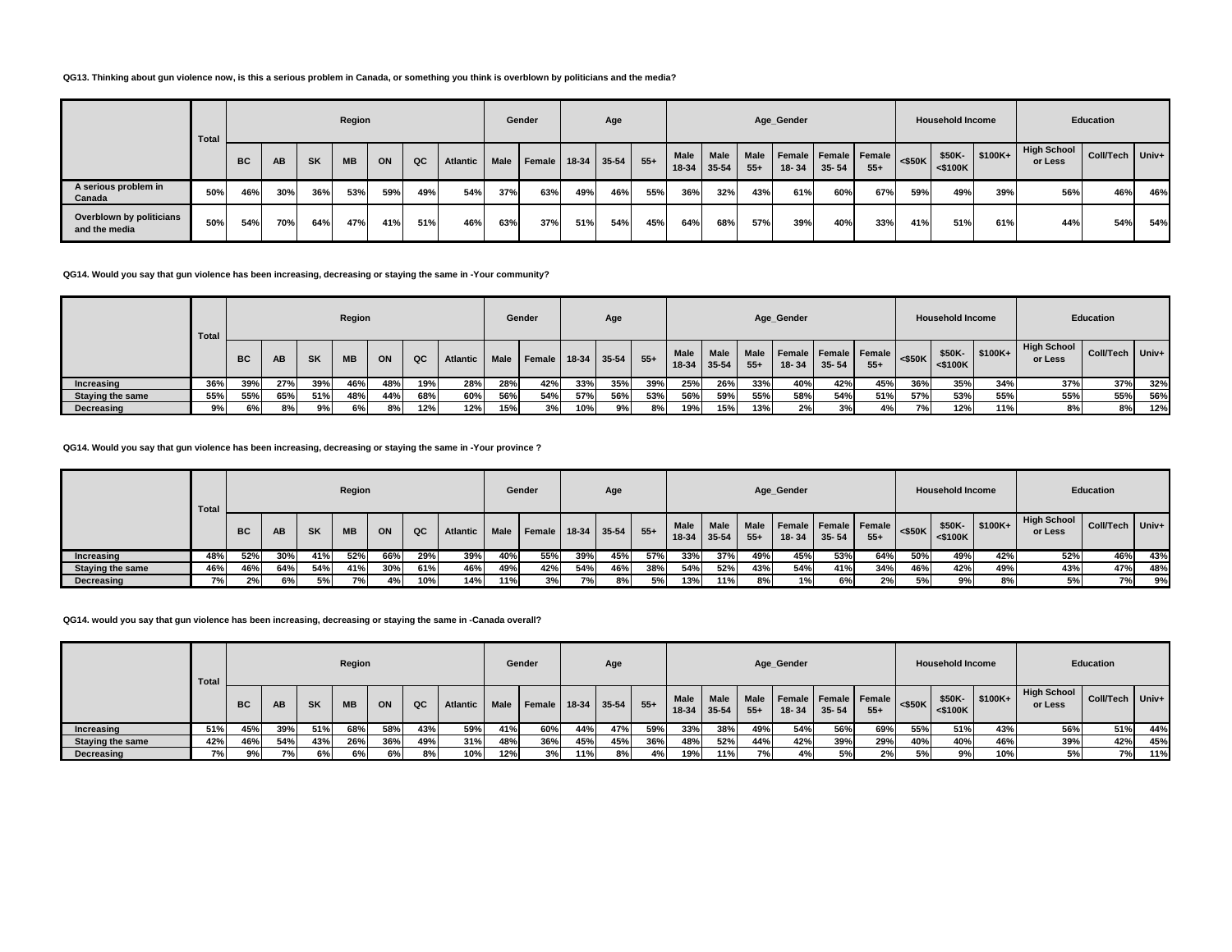### **QG13. Thinking about gun violence now, is this a serious problem in Canada, or something you think is overblown by politicians and the media?**

|                                           | Total |     |     |           | Region    |     |     |                 |      | Gender               |     | Age |       |      |                       |               | Age_Gender |           |                               |           | <b>Household Income</b> |          |                        | Education       |     |
|-------------------------------------------|-------|-----|-----|-----------|-----------|-----|-----|-----------------|------|----------------------|-----|-----|-------|------|-----------------------|---------------|------------|-----------|-------------------------------|-----------|-------------------------|----------|------------------------|-----------------|-----|
|                                           |       | BC  | AB  | <b>SK</b> | <b>MB</b> | ON  | QC  | <b>Atlantic</b> | Male | Female   18-34 35-54 |     |     | $55+$ | Male | Male<br>$18-34$ 35-54 | Male<br>$55+$ | 18-34      | $35 - 54$ | Female Female Female<br>$55+$ | $<$ \$50K | \$50K-<br>$<$ \$100K    | $$100K+$ | High School<br>or Less | Coll/Tech Univ+ |     |
| A serious problem in<br>Canada            | 50%   | 46% | 30% | 36%       | 53%       | 59% | 49% | 54%             | 37%  | 63%                  | 49% | 46% | 55%   | 36%  | 32%                   | 43%           | 61%        | 60%       | 67%                           | 59%       | 49%                     | 39%      | 56%                    | 46%             | 46% |
| Overblown by politicians<br>and the media | 50%   | 54% | 70% | 64%       | 47%       | 41% | 51% | 46%             | 63%  | 37%                  | 51% | 54% | 45%   | 64%  | 68%                   | 57%           | 39%        | 40%       | 33%                           | 41%       | 51%                     | 61%      | 44%                    | 54%             | 54% |

## **QG14. Would you say that gun violence has been increasing, decreasing or staying the same in -Your community?**

|                         | Total |           |           |           | Region    |     |     |                 |             | Gender |               | Age |       |                        |                      |                      | Age_Gender                    |           |       |           | <b>Household Income</b> |          |                        | <b>Education</b> |       |
|-------------------------|-------|-----------|-----------|-----------|-----------|-----|-----|-----------------|-------------|--------|---------------|-----|-------|------------------------|----------------------|----------------------|-------------------------------|-----------|-------|-----------|-------------------------|----------|------------------------|------------------|-------|
|                         |       | <b>BC</b> | <b>AB</b> | <b>SK</b> | <b>MB</b> | ON  | QC  | <b>Atlantic</b> | <b>Male</b> | Female | $18-34$ 35-54 |     | $55+$ | <b>Male</b><br>$18-34$ | <b>Male</b><br>35-54 | <b>Male</b><br>$55+$ | Female Female Female<br>18-34 | $35 - 54$ | $55+$ | $<$ \$50K | \$50K-<br>$<$ \$100K    | $$100K+$ | High School<br>or Less | <b>Coll/Tech</b> | Univ+ |
| Increasing              | 36%   | 39%       | 27%       | 39%       | 46%       | 48% | 19% | 28%             | 28%         | 42%    | 33%           | 35% | 39%   | 25%                    | 26%                  | 33%                  | 40%                           | 42%       | 45%   | 36%       | 35%                     | 34%      | 37%                    | 37%              | 32%   |
| <b>Staying the same</b> | 55%   | 55%       | 65%       | 51%       | 48%       | 44% | 68% | 60%             | 56%         | 54%    | 57%           | 56% | 53%   | 56%                    | 59%                  | 55%                  | 58%                           | 54%       | 51%   | 57%       | 53%                     | 55%      | 55%                    | 55%              | 56%   |
| Decreasing              | 9%    | 6%        | 8%        | 9%I       | 6%        | 8%  | 12% | 12%             | 15%         | 3%     | 10%           | 9%। | 8%    | 19%                    | 15%                  | 13%                  | 2%                            | 3%1       | 4%    | 7%        | 12%                     | 11%      | 8%                     | 8%               | 12%   |

#### **QG14. Would you say that gun violence has been increasing, decreasing or staying the same in -Your province ?**

|                         | <b>Total</b> |           |           |           | Region    |     |     |                 |             | Gender        |               | Age |       |                 |               |                      | Age_Gender |                                   |       |           | <b>Household Income</b> |           |                               | <b>Education</b> |       |
|-------------------------|--------------|-----------|-----------|-----------|-----------|-----|-----|-----------------|-------------|---------------|---------------|-----|-------|-----------------|---------------|----------------------|------------|-----------------------------------|-------|-----------|-------------------------|-----------|-------------------------------|------------------|-------|
|                         |              | <b>BC</b> | <b>AB</b> | <b>SK</b> | <b>MB</b> | ON  | QC  | <b>Atlantic</b> | <b>Male</b> | <b>Female</b> | $18-34$ 35-54 |     | $55+$ | Male<br>$18-34$ | Male<br>35-54 | <b>Male</b><br>$55+$ | 18-34      | Female Female Female<br>$35 - 54$ | $55+$ | $<$ \$50K | \$50K-<br>$<$ \$100K    | $$100K +$ | <b>High School</b><br>or Less | <b>Coll/Tech</b> | Univ+ |
| Increasing              | 48%          | 52%       | 30%       | 41%       | 52%       | 66% | 29% | 39%             | 40%         | 55%           | 39%           | 45% | 57%   | 33%             | 37%           | 49%                  | 45%        | 53%                               | 64%   | 50%       | 49%                     | 42%       | 52%                           | 46%              | 43%   |
| <b>Staying the same</b> | 46%          | 46%       | 64%       | 54%       | 41%       | 30% | 61% | 46%             | 49%         | 42%           | 54%           | 46% | 38%   | 54%             | 52%           | 43%                  | 54%        | 41%                               | 34%   | 46%       | 42%                     | 49%       | 43%                           | 47%              | 48%   |
| Decreasing              | 7%           | 2%        | 6%        | 5%        | 7%1       | 4%  | 10% | 14%             | 11%         | 3%            | 7%            | 8%  | 5%    | 13%             | 11%           | 8%                   | 1%         | 6%                                | 2%    | 5%        | 9%                      | 8%        | 5%                            | 7%               | 9%    |

#### **QG14. would you say that gun violence has been increasing, decreasing or staying the same in -Canada overall?**

|                         | <b>Total</b> |           |           |           | Region    |     |     |                 |             | Gender              |     | Age         |       |               |               |       | Age_Gender                                     |           |       |           | <b>Household Income</b> |                       |                               | Education         |     |
|-------------------------|--------------|-----------|-----------|-----------|-----------|-----|-----|-----------------|-------------|---------------------|-----|-------------|-------|---------------|---------------|-------|------------------------------------------------|-----------|-------|-----------|-------------------------|-----------------------|-------------------------------|-------------------|-----|
|                         |              | <b>BC</b> | <b>AB</b> | <b>SK</b> | <b>MB</b> | ON  | QC  | <b>Atlantic</b> | <b>Male</b> | Female <sub>1</sub> |     | 18-34 35-54 | $55+$ | Male<br>18-34 | Male<br>35-54 | $55+$ | Male   Female   Female   Female  <br>$18 - 34$ | $35 - 54$ | $55+$ | $<$ \$50K | \$50K-<br>$<$ \$100 $K$ | $\frac{1}{2}$ \$100K+ | <b>High School</b><br>or Less | Coll/Tech   Univ+ |     |
| Increasing              | 51%          | 45%       | 39%       | 51%       | 68%       | 58% | 43% | 59%             | 41%         | 60%                 | 44% | <b>47%</b>  | 59%   | 33%           | 38%           | 49%   | 54%                                            | 56%       | 69%   | 55%       | 51%                     | 43%                   | 56%                           | 51%               | 44% |
| <b>Staying the same</b> | 42%          | 46%       | 54%       | 43%       | 26%       | 36% | 49% | 31%             | 48%         | 36%                 | 45% | 45%         | 36%   | 48%           | 52%           | 44%   | 42%                                            | 39%       | 29%   | 40%       | 40%                     | 46%                   | 39%                           | 42%               | 45% |
| Decreasing              | 7%           | 9%        | 7% i      | 6%        | 6%        | 6%  | 8%  | 10%             | 12%         | 3%                  | 11% | 8%          | 4%    | 19%           | 11%           | 7%    | 4%                                             | 5%        | 2%    | 5%        | 9%                      | 10%                   | 5%                            | <b>7%</b>         | 11% |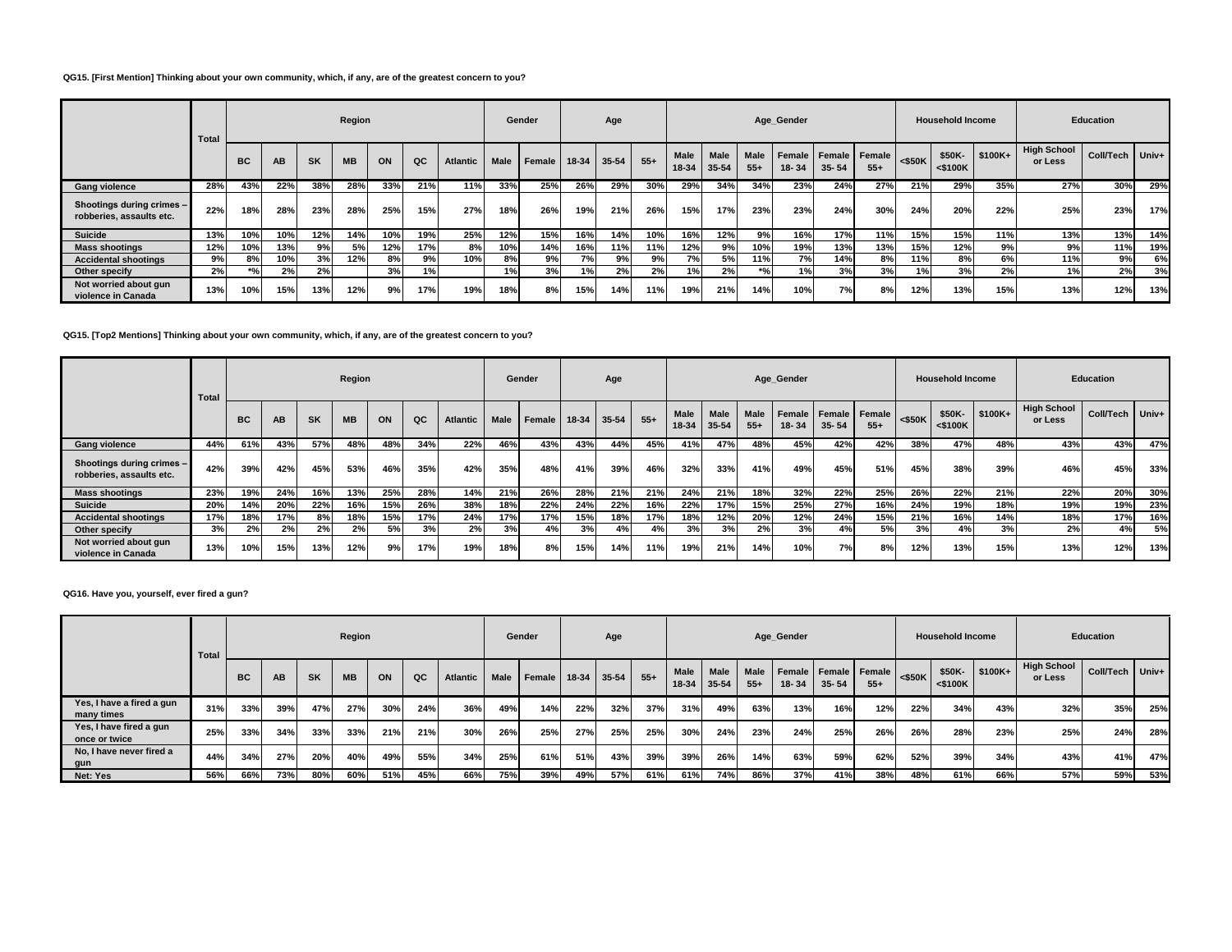### **QG15. [First Mention] Thinking about your own community, which, if any, are of the greatest concern to you?**

|                                                       | Total |                                 |     |           | Region    |     |     |          |      | Gender |               | Age |       |                      |                      |                       | Age_Gender          |                            |                 |           | <b>Household Income</b> |           |                               | Education       |     |
|-------------------------------------------------------|-------|---------------------------------|-----|-----------|-----------|-----|-----|----------|------|--------|---------------|-----|-------|----------------------|----------------------|-----------------------|---------------------|----------------------------|-----------------|-----------|-------------------------|-----------|-------------------------------|-----------------|-----|
|                                                       |       | <b>BC</b>                       | AB  | <b>SK</b> | <b>MB</b> | ON  | QC  | Atlantic | Male | Female | $18-34$ 35-54 |     | $55+$ | <b>Male</b><br>18-34 | <b>Male</b><br>35-54 | <b>Male</b><br>$55 +$ | Female<br>$18 - 34$ | <b>Female</b><br>$35 - 54$ | Female<br>$55+$ | $<$ \$50K | \$50K-<br>$<$ \$100K    | $$100K +$ | <b>High School</b><br>or Less | Coll/Tech Univ+ |     |
| <b>Gang violence</b>                                  | 28%   | 43%                             | 22% | 38%       | 28%       | 33% | 21% | 11%      | 33%  | 25%    | 26%           | 29% | 30%   | 29%                  | 34%                  | 34%                   | 23%                 | 24%                        | 27%             | 21%       | 29%                     | 35%       | 27%                           | 30%             | 29% |
| Shootings during crimes -<br>robberies, assaults etc. | 22%   | 18%                             | 28% | 23%       | 28%       | 25% | 15% | 27%      | 18%  | 26%    | 19%           | 21% | 26%   | 15%                  | 17%                  | 23%                   | 23%                 | 24%                        | 30%             | 24%       | 20%                     | 22%       | 25%                           | 23%             | 17% |
| Suicide                                               | 13%   | 10%                             | 10% | 12%       | 14%       | 10% | 19% | 25%      | 12%  | 15%    | 16%           | 14% | 10%   | 16%                  | 12%                  | 9%                    | 16%                 | 17%                        | 11%             | 15%       | 15%                     | 11%       | 13%                           | 13%             | 14% |
| <b>Mass shootings</b>                                 | 12%   | 10%                             | 13% | 9%        | 5%        | 12% | 17% | 8%       | 10%  | 14%    | 16%           | 11% | 11%   | 12%                  | 9%                   | 10%                   | 19%                 | 13%                        | 13%             | 15%       | 12%                     | 9%        | 9%                            | 11%             | 19% |
| <b>Accidental shootings</b>                           | 9%    | 8%                              | 10% | 3%        | 12%       | 8%  | 9%  | 10%      | 8%   | 9%     | 7%            | 9%  | 9%    | 7%                   | 5%                   | 11%                   | <b>7%</b>           | 14%                        | 8%              | 11%       | 8%                      | 6%        | 11%                           | 9%              | 6%  |
| Other specify                                         | 2%    | $*$ <sup>o</sup> / <sub>0</sub> | 2%  | 2%        |           | 3%  | 1%  |          | 1%   | 3%     | 1%            | 2%  | 2%    | $1\%$                | 2%                   | $*$ %                 | 1%                  | 3%                         | 3%              | 1%        | 3%                      | 2%        | 1%                            | 2%              | 3%  |
| Not worried about gun<br>violence in Canada           | 13%   | 10%                             | 15% | 13%       | 12%       | 9%  | 17% | 19%      | 18%  | 8%     | 15%           | 14% | 11%   | 19%                  | 21%                  | 14%                   | 10%                 | 7%                         | 8%              | 12%       | 13%                     | 15%       | 13%                           | 12%             | 13% |

### **QG15. [Top2 Mentions] Thinking about your own community, which, if any, are of the greatest concern to you?**

|                                                       | Total |           |     |           | Region    |     |     |          |      | Gender |         | Age   |       |               |                      |                      | Age Gender      |                                   |       |           | <b>Household Income</b> |          |                               | <b>Education</b> |     |
|-------------------------------------------------------|-------|-----------|-----|-----------|-----------|-----|-----|----------|------|--------|---------|-------|-------|---------------|----------------------|----------------------|-----------------|-----------------------------------|-------|-----------|-------------------------|----------|-------------------------------|------------------|-----|
|                                                       |       | <b>BC</b> | AB  | <b>SK</b> | <b>MB</b> | ON  | QC  | Atlantic | Male | Female | $18-34$ | 35-54 | $55+$ | Male<br>18-34 | <b>Male</b><br>35-54 | <b>Male</b><br>$55+$ | Female<br>18-34 | <b>Female Female</b><br>$35 - 54$ | $55+$ | $<$ \$50K | \$50K-<br>$<$ \$100 $K$ | $$100K+$ | <b>High School</b><br>or Less | Coll/Tech Univ+  |     |
| <b>Gang violence</b>                                  | 44%   | 61%       | 43% | 57%       | 48%       | 48% | 34% | 22%      | 46%  | 43%    | 43%     | 44%   | 45%   | 41%           | 47%                  | 48%                  | 45%             | 42%                               | 42%   | 38%       | 47%                     | 48%      | 43%                           | 43%              | 47% |
| Shootings during crimes -<br>robberies, assaults etc. | 42%   | 39%       | 42% | 45%       | 53%       | 46% | 35% | 42%      | 35%  | 48%    | 41%     | 39%   | 46%   | 32%           | 33%                  | 41%                  | 49%             | 45%                               | 51%   | 45%       | 38%                     | 39%      | 46%                           | 45%              | 33% |
| <b>Mass shootings</b>                                 | 23%   | 19%       | 24% | 16%       | 13%       | 25% | 28% | 14%      | 21%  | 26%    | 28%     | 21%   | 21%   | 24%           | 21%                  | 18%                  | 32%             | 22%                               | 25%   | 26%       | 22%                     | 21%      | 22%                           | 20%              | 30% |
| <b>Suicide</b>                                        | 20%   | 14%       | 20% | 22%       | 16%       | 15% | 26% | 38%      | 18%  | 22%    | 24%     | 22%   | 16%   | 22%           | 17%                  | 15%                  | 25%             | 27%                               | 16%   | 24%       | 19%                     | 18%      | 19%                           | 19%              | 23% |
| <b>Accidental shootings</b>                           | 17%   | 18%       | 17% | 8%        | 18%       | 15% | 17% | 24%      | 17%  | 17%    | 15%     | 18%   | 17%   | 18%           | 12%                  | 20%                  | 12%             | 24%                               | 15%   | 21%       | 16%                     | 14%      | 18%                           | 17%              | 16% |
| Other specify                                         | 3%    | 2%        | 2%  | 2%        | 2%        | 5%  | 3%  | 2%       | 3%   | 4%     | 3%      | 4%    | 4%    | 3%            | 3%                   | 2%                   | 3%              | 4%                                | 5%    | 3%        | 4%                      | 3%       | 2%                            | 4%               | 5%  |
| Not worried about gun<br>violence in Canada           | 13%   | 10%       | 15% | 13%       | 12%       | 9%  | 17% | 19%      | 18%  | 8%     | 15%     | 14%   | 11%   | 19%           | 21%                  | 14%                  | 10%             | 7%                                | 8%    | 12%       | 13%                     | 15%      | 13%                           | 12%              | 13% |

# **QG16. Have you, yourself, ever fired a gun?**

|                                          | Total |           |           |           | Region    |     |     |                 |             | Gender |         | Age   |       |                      |                      |                      | Age_Gender |           |                               |           | <b>Household Income</b> |           |                               | Education |         |
|------------------------------------------|-------|-----------|-----------|-----------|-----------|-----|-----|-----------------|-------------|--------|---------|-------|-------|----------------------|----------------------|----------------------|------------|-----------|-------------------------------|-----------|-------------------------|-----------|-------------------------------|-----------|---------|
|                                          |       | <b>BC</b> | <b>AB</b> | <b>SK</b> | <b>MB</b> | ON  | QC  | <b>Atlantic</b> | <b>Male</b> | Female | $18-34$ | 35-54 | $55+$ | <b>Male</b><br>18-34 | <b>Male</b><br>35-54 | <b>Male</b><br>$55+$ | 18-34      | $35 - 54$ | Female Female Female<br>$55+$ | $<$ \$50K | \$50K-<br>$<$ \$100K    | $ $100K+$ | <b>High School</b><br>or Less | Coll/Tech | $Univ+$ |
| Yes, I have a fired a gun<br>many times  | 31%   | 33%       | 39%       | 47%       | 27%       | 30% | 24% | 36%             | 49%         | 14%    | 22%     | 32%   | 37%   | 31%                  | 49%                  | 63%                  | 13%        | 16%       | 12%                           | 22%       | 34%                     | 43%       | 32%                           | 35%       | 25%     |
| Yes, I have fired a gun<br>once or twice | 25%   | 33%       | 34%       | 33%       | 33%       | 21% | 21% | 30%             | 26%         | 25%    | 27%     | 25%   | 25%   | 30%                  | 24%                  | 23%                  | 24%        | 25%       | 26%                           | 26%       | 28%                     | 23%       | 25%                           | 24%       | 28%     |
| No, I have never fired a<br>gun          | 44%   | 34%       | 27%       | 20%       | 40%       | 49% | 55% | 34%             | 25%         | 61%    | 51%     | 43%   | 39%   | 39%                  | 26%                  | 14%                  | 63%        | 59%       | 62%                           | 52%       | 39%                     | 34%       | 43%                           | 41%       | 47%     |
| Net: Yes                                 | 56%   | 66%       | 73%       | 80%       | 60%       | 51% | 45% | 66%             | 75%         | 39%    | 49%     | 57%   | 61%   | 61%                  | 74%                  | 86%                  | 37%        | 41%       | 38%                           | 48%       | 61%                     | 66%       | 57%                           | 59%       | 53%     |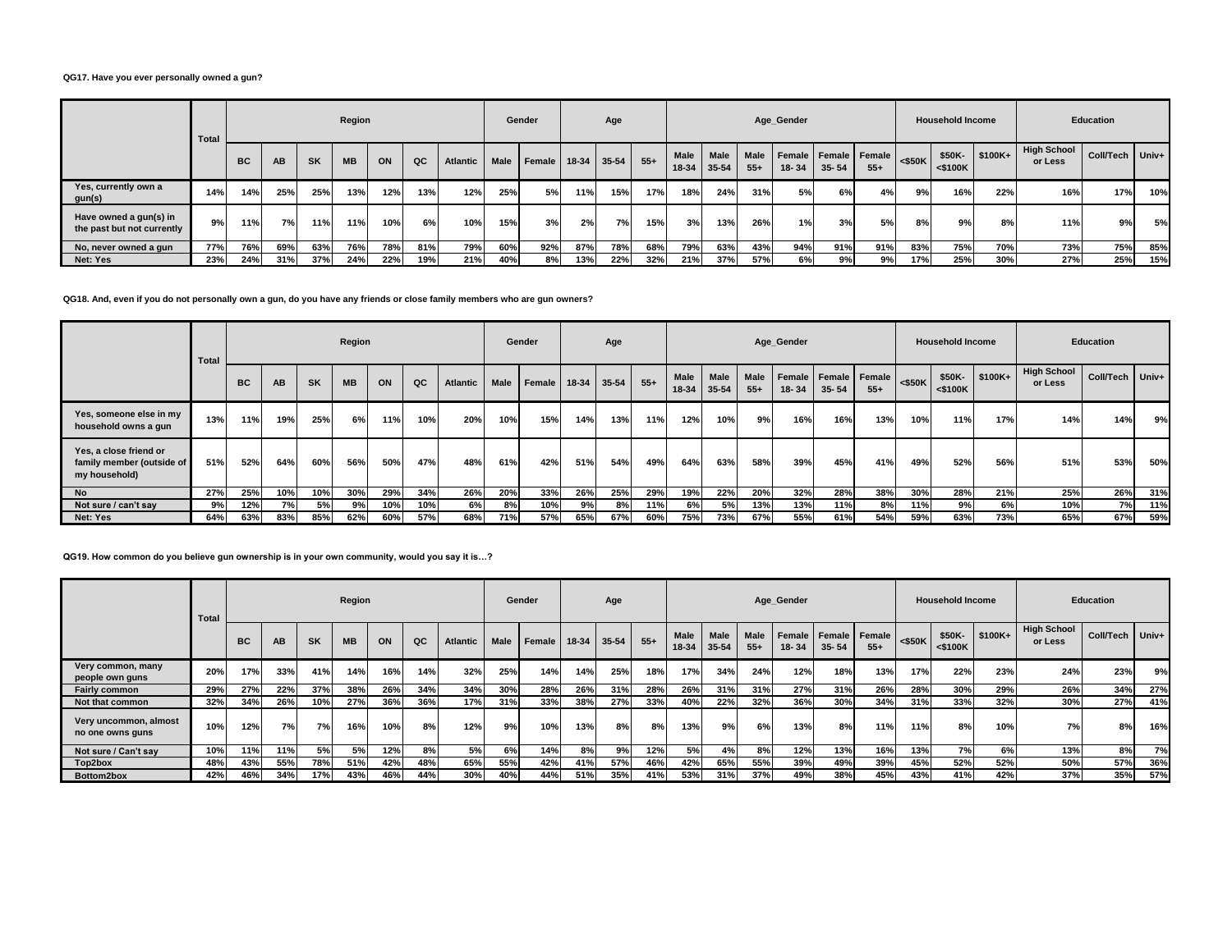### **QG17. Have you ever personally owned a gun?**

|                                                      | <b>Total</b> |           |     |           | Region    |     |     |                 |             | Gender |               | Age |       |               |               |               | Age_Gender          |           |                          |           | <b>Household Income</b> |          |                               | <b>Education</b> |     |
|------------------------------------------------------|--------------|-----------|-----|-----------|-----------|-----|-----|-----------------|-------------|--------|---------------|-----|-------|---------------|---------------|---------------|---------------------|-----------|--------------------------|-----------|-------------------------|----------|-------------------------------|------------------|-----|
|                                                      |              | <b>BC</b> | AB  | <b>SK</b> | <b>MB</b> | ON  | QC  | <b>Atlantic</b> | <b>Male</b> | Female | $18-34$ 35-54 |     | $55+$ | Male<br>18-34 | Male<br>35-54 | Male<br>$55+$ | Female<br>$18 - 34$ | $35 - 54$ | Female   Female<br>$55+$ | $<$ \$50K | \$50K-<br>$<$ \$100K    | $$100K+$ | <b>High School</b><br>or Less | Coll/Tech Univ+  |     |
| Yes, currently own a<br>gun(s)                       | 14%          | 14%       | 25% | 25%       | 13%       | 12% | 13% | 12%             | 25%         | 5%     | 11%           | 15% | 17%   | 18%           | 24%           | 31%           | 5%                  | 6%        | 4%                       | 9%        | 16%                     | 22%      | 16%                           | 17%              | 10% |
| Have owned a gun(s) in<br>the past but not currently | 9%           | 11%       | 7%  | 11%       | 11%       | 10% | 6%  | 10%             | 15%         | 3%     | 2%            | 7%  | 15%   | 3%            | 13%           | 26%           | 1%                  | 3%        | 5%                       | 8%        | 9%।                     | 8%       | 11%                           | 9%               | 5%  |
| No, never owned a gun                                | 77%          | 76%       | 69% | 63%       | 76%       | 78% | 81% | 79%             | 60%         | 92%    | 87%           | 78% | 68%   | 79%           | 63%           | 43%           | 94%                 | 91%       | 91%                      | 83%       | 75%                     | 70%      | 73%                           | 75%              | 85% |
| Net: Yes                                             | 23%          | 24%       | 31% | 37%       | 24%       | 22% | 19% | 21%             | 40%         | 8%     | 13%           | 22% | 32%   | 21%           | 37%           | 57%           | 6%                  | 9%        | 9%                       | 17%       | 25%                     | 30%      | 27%                           | 25%              | 15% |

### **QG18. And, even if you do not personally own a gun, do you have any friends or close family members who are gun owners?**

|                                                                      | Total |           |     |           | Region    |     |     |                 |             | Gender |         | Age       |       |                      |                          |                      | Age_Gender          |                     |                 |           | <b>Household Income</b> |           |                               | <b>Education</b> |       |
|----------------------------------------------------------------------|-------|-----------|-----|-----------|-----------|-----|-----|-----------------|-------------|--------|---------|-----------|-------|----------------------|--------------------------|----------------------|---------------------|---------------------|-----------------|-----------|-------------------------|-----------|-------------------------------|------------------|-------|
|                                                                      |       | <b>BC</b> | AB  | <b>SK</b> | <b>MB</b> | ON  | QC  | <b>Atlantic</b> | <b>Male</b> | Female | $18-34$ | $35 - 54$ | $55+$ | <b>Male</b><br>18-34 | <b>Male</b><br>$35 - 54$ | <b>Male</b><br>$55+$ | Female<br>$18 - 34$ | Female<br>$35 - 54$ | Female<br>$55+$ | $<$ \$50K | \$50K-<br>$<$ \$100K    | $$100K +$ | <b>High School</b><br>or Less | Coll/Tech        | Univ+ |
| Yes, someone else in my<br>household owns a gun                      | 13%   | 11%       | 19% | 25%       | 6%        | 11% | 10% | 20%             | 10%         | 15%    | 14%     | 13%       | 11%   | 12%                  | 10%                      | 9%                   | 16%                 | 16%                 | 13%             | 10%       | 11%                     | 17%       | 14%                           | 14%              | 9%    |
| Yes, a close friend or<br>family member (outside of<br>my household) | 51%   | 52%       | 64% | 60%       | 56%       | 50% | 47% | 48%             | 61%         | 42%    | 51%     | 54%       | 49%   | 64%                  | 63%                      | 58%                  | 39%                 | 45%                 | 41%             | 49%       | 52%                     | 56%       | 51%                           | 53%              | 50%   |
| <b>No</b>                                                            | 27%   | 25%       | 10% | 10%       | 30%       | 29% | 34% | 26%             | 20%         | 33%    | 26%     | 25%       | 29%   | 19%                  | 22%                      | 20%                  | 32%                 | 28%                 | 38%             | 30%       | 28%                     | 21%       | 25%                           | 26%              | 31%   |
| Not sure / can't say                                                 | 9%    | 12%       | 7%  | 5%        | 9%        | 10% | 10% | 6% l            | 8%          | 10%    | 9%      | 8%        | 11%   | 6%                   | 5%                       | 13%                  | 13%                 | 11%                 | 8%              | 11%       | 9%                      | 6%        | 10%                           | 7%               | 11%   |
| Net: Yes                                                             | 64%   | 63%       | 83% | 85%       | 62%       | 60% | 57% | 68%             | 71%         | 57%    | 65%     | 67%       | 60%   | 75%                  | 73%                      | 67%                  | 55%                 | 61%                 | 54%             | 59%       | 63%                     | 73%       | 65%                           | 67%              | 59%   |

### **QG19. How common do you believe gun ownership is in your own community, would you say it is…?**

|                                           | Total |           |     |           | Region    |     |     |                 |             | Gender |       | Age       |       |               |                      |                      | Age Gender      |                              |       |           | <b>Household Income</b> |           |                               | <b>Education</b> |     |
|-------------------------------------------|-------|-----------|-----|-----------|-----------|-----|-----|-----------------|-------------|--------|-------|-----------|-------|---------------|----------------------|----------------------|-----------------|------------------------------|-------|-----------|-------------------------|-----------|-------------------------------|------------------|-----|
|                                           |       | <b>BC</b> | AB. | <b>SK</b> | <b>MB</b> | ON  | QC  | <b>Atlantic</b> | <b>Male</b> | Female | 18-34 | $35 - 54$ | $55+$ | Male<br>18-34 | <b>Male</b><br>35-54 | <b>Male</b><br>$55+$ | Female<br>18-34 | Female   Female<br>$35 - 54$ | $55+$ | $<$ \$50K | \$50K-<br>$<$ \$100K    | $$100K +$ | <b>High School</b><br>or Less | Coll/Tech Univ+  |     |
| Very common, many<br>people own guns      | 20%   | 17%       | 33% | 41%       | 14%       | 16% | 14% | 32%             | 25%         | 14%    | 14%   | 25%       | 18%   | 17%           | 34%                  | 24%                  | 12%             | 18%                          | 13%   | 17%       | 22%                     | 23%       | 24%                           | 23%              | 9%  |
| <b>Fairly common</b>                      | 29%   | 27%       | 22% | 37%       | 38%       | 26% | 34% | 34%             | 30%         | 28%    | 26%   | 31%       | 28%   | 26%           | 31%                  | 31%                  | 27%             | 31%                          | 26%   | 28%       | 30%                     | 29%       | 26%                           | 34%              | 27% |
| Not that common                           | 32%   | 34%       | 26% | 10%       | 27%       | 36% | 36% | 17%             | 31%         | 33%    | 38%   | 27%       | 33%   | 40%           | 22%                  | 32%                  | 36%             | 30%                          | 34%   | 31%       | 33%                     | 32%       | 30%                           | 27%              | 41% |
| Very uncommon, almost<br>no one owns guns | 10%   | 12%       | 7%  | <b>7%</b> | 16%       | 10% | 8%  | 12%             | 9%          | 10%    | 13%   | 8%        | 8%    | 13%           | 9%                   | 6%                   | 13%             | 8%                           | 11%   | 11%       | 8%                      | 10%       | 7%                            | 8%               | 16% |
| Not sure / Can't say                      | 10%   | 11%       | 11% | 5%        | 5%        | 12% | 8%  | 5%              | 6%          | 14%    | 8%    | 9%        | 12%   | 5%            | 4%                   | 8%                   | 12%             | 13%                          | 16%   | 13%       | 7%                      | 6%        | 13%                           | 8%               | 7%  |
| Top2box                                   | 48%   | 43%       | 55% | 78%       | 51%       | 42% | 48% | 65%             | 55%         | 42%    | 41%   | 57%       | 46%   | 42%           | 65%                  | 55%                  | 39%             | 49%                          | 39%   | 45%       | 52%                     | 52%       | 50%                           | 57%              | 36% |
| Bottom2box                                | 42%   | 46%       | 34% | 17%       | 43%       | 46% | 44% | 30%             | 40%         | 44%    | 51%   | 35%       | 41%   | 53%           | 31%                  | 37%                  | 49%             | 38%                          | 45%   | 43%       | 41%                     | 42%       | 37%                           | 35%              | 57% |